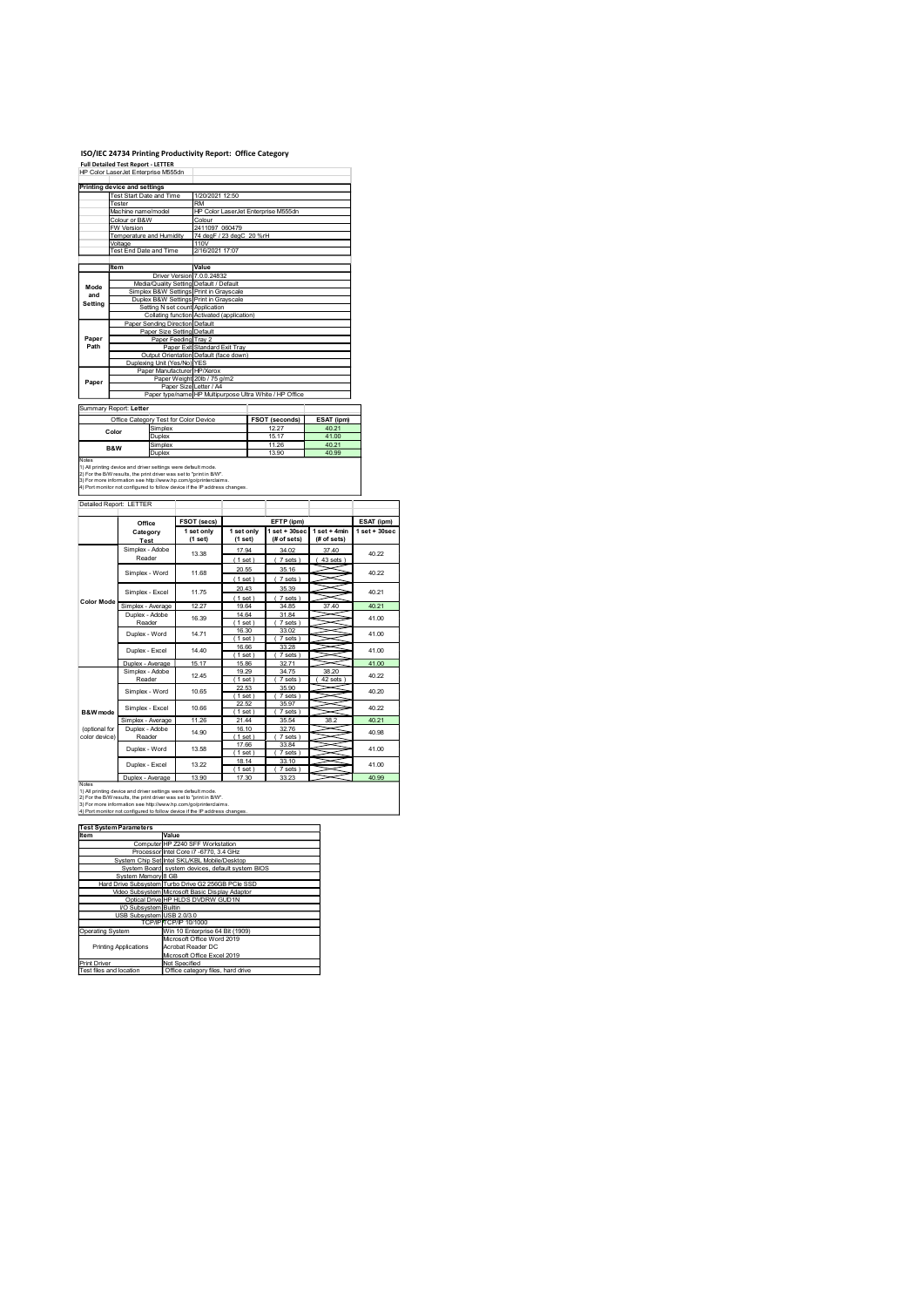# ISO/IEC 24734 Printing Productivity Report: Office Category Full Detailed Test Report - LETTER

|                | ISO/IEC 24734 Printing Productivity Report: Office Category                                                                                                                                                          |                                                                               |                                                         |                                |                               |                                |
|----------------|----------------------------------------------------------------------------------------------------------------------------------------------------------------------------------------------------------------------|-------------------------------------------------------------------------------|---------------------------------------------------------|--------------------------------|-------------------------------|--------------------------------|
|                | <b>Full Detailed Test Report - LETTER</b><br>HP Color LaserJet Enterprise M555dn                                                                                                                                     |                                                                               |                                                         |                                |                               |                                |
|                | <b>Printing device and settings</b><br>Fest Start Date and Time                                                                                                                                                      | 1/20/2021 12:50                                                               |                                                         |                                |                               |                                |
|                | ester<br>Machine name/model                                                                                                                                                                                          | <b>RM</b>                                                                     | HP Color LaserJet Enterprise M555dn                     |                                |                               |                                |
|                | Colour or B&W<br><b>W</b> Version                                                                                                                                                                                    | Colour                                                                        | 2411097_060479                                          |                                |                               |                                |
|                | Femperature and Humidity<br>Voltage<br>Test End Date and Time                                                                                                                                                        | 110V<br>2/16/2021 17:07                                                       | 74 degF / 23 degC 20 %rH                                |                                |                               |                                |
|                | Item                                                                                                                                                                                                                 | Value                                                                         |                                                         |                                |                               |                                |
| Mode           |                                                                                                                                                                                                                      | Driver Version 7.0.0.24832<br>Media/Quality Setting Default / Default         |                                                         |                                |                               |                                |
| and<br>Setting | Simplex B&W Settings Print in Grayscale<br>Duplex B&W Settings Print in Grayscale                                                                                                                                    |                                                                               |                                                         |                                |                               |                                |
|                | Paper Sending Direction Default                                                                                                                                                                                      | Setting N set count Application<br>Collating function Activated (application) |                                                         |                                |                               |                                |
| Paper          |                                                                                                                                                                                                                      | Paper Size Setting Default<br>Paper Feeding Tray 2                            |                                                         |                                |                               |                                |
| Path           |                                                                                                                                                                                                                      | Paper Exit Standard Exit Tray<br>Output Orientation Default (face down)       |                                                         |                                |                               |                                |
|                | Duplexing Unit (Yes/No) YES                                                                                                                                                                                          | Paper Manufacturer HP/Xerox                                                   |                                                         |                                |                               |                                |
| Paper          |                                                                                                                                                                                                                      | Paper Weight 20lb / 75 g/m2<br>Paper Size Letter / A4                         | Paper type/name HP Multipurpose Ultra White / HP Office |                                |                               |                                |
|                | Summary Report: Letter                                                                                                                                                                                               |                                                                               |                                                         |                                |                               |                                |
|                | Office Category Test for Color Device<br>Simplex<br>Color                                                                                                                                                            |                                                                               |                                                         | <b>FSOT</b> (seconds)<br>12.27 | ESAT (ipm)<br>40.21           |                                |
|                | Duplex<br>Simplex<br>B&W<br>Duplex                                                                                                                                                                                   |                                                                               |                                                         | 15.17<br>11.26<br>13.90        | 41.00<br>40.21<br>40.99       |                                |
| Notes          | 1) All printing device and driver settings were default mode.                                                                                                                                                        |                                                                               |                                                         |                                |                               |                                |
|                | 2) For the B/W results, the print driver was set to "print in B/W".<br>3) For more information see http://www.hp.com/go/printerclaims.<br>4) Port monitor not configured to follow device if the IP address changes. |                                                                               |                                                         |                                |                               |                                |
|                | Detailed Report: LETTER                                                                                                                                                                                              |                                                                               |                                                         |                                |                               |                                |
|                | Office                                                                                                                                                                                                               | FSOT (secs)<br>1 set only                                                     | 1 set only                                              | EFTP (ipm)                     | $1 set + 30 sec$ 1 set + 4min | ESAT (ipm)<br>$1 set + 30 sec$ |
|                | Category<br><b>Test</b>                                                                                                                                                                                              | (1 set)                                                                       | (1 set)                                                 | (# of sets)                    | (# of sets)                   |                                |
|                | Simplex - Adobe<br>Reader                                                                                                                                                                                            | 13.38                                                                         | 17.94<br>(1 set)                                        | 34.02<br>(7 sets)              | 37.40<br>(43 sets)            | 40.22                          |
|                | Simplex - Word                                                                                                                                                                                                       | 11.68                                                                         | 20.55<br>(1 set)                                        | 35.16<br>(7 sets)              |                               | 40.22                          |
| Color Mode     | Simplex - Excel                                                                                                                                                                                                      | 11.75                                                                         | 20.43<br>(1 set)                                        | 35.39<br>(7 sets)              |                               | 40.21                          |
|                | Simplex - Average<br>Duplex - Adobe                                                                                                                                                                                  | 12.27<br>16.39                                                                | 19.64<br>14.64                                          | 34.85<br>31.84                 | 37.40                         | 40.21<br>41.00                 |
|                | Reader<br>Duplex - Word                                                                                                                                                                                              | 14.71                                                                         | (1 set)<br>16.30<br>(1 set)                             | (7 sets)<br>33.02<br>(7 sets)  |                               | 41.00                          |
|                |                                                                                                                                                                                                                      |                                                                               |                                                         |                                |                               |                                |
|                | Duplex - Excel                                                                                                                                                                                                       | 14.40                                                                         | 16.66                                                   | 33.28                          |                               | 41.00                          |
|                | Duplex - Average<br>Simplex - Adobe                                                                                                                                                                                  | 15.17                                                                         | (1 set)<br>15.86<br>19.29                               | (7 sets)<br>32.71<br>34.75     | --<br>38.20                   | 41.00                          |
|                | Reader<br>Simplex - Word                                                                                                                                                                                             | 12.45<br>10.65                                                                | (1 set)<br>22.53<br>(1 set)                             | (7 sets)<br>35.90<br>(7 sets)  | 42 sets)                      | 40.22<br>40.20                 |

|                                         | Machine name/model                                                                                                                            |                                                    |                                                                       | HP Color LaserJet Enterprise M555dn                     |                                |                   |                                |
|-----------------------------------------|-----------------------------------------------------------------------------------------------------------------------------------------------|----------------------------------------------------|-----------------------------------------------------------------------|---------------------------------------------------------|--------------------------------|-------------------|--------------------------------|
|                                         | Colour or B&W<br>W Version                                                                                                                    |                                                    | Colour<br>2411097_060479                                              |                                                         |                                |                   |                                |
|                                         | Temperature and Humidity<br>Voltage                                                                                                           |                                                    | 110V                                                                  | 74 degF / 23 degC 20 %rH                                |                                |                   |                                |
|                                         | Test End Date and Time                                                                                                                        |                                                    | 2/16/2021 17:07                                                       |                                                         |                                |                   |                                |
|                                         | Item                                                                                                                                          |                                                    | Value                                                                 |                                                         |                                |                   |                                |
| Mode                                    |                                                                                                                                               |                                                    | Driver Version 7.0.0.24832<br>Media/Quality Setting Default / Default |                                                         |                                |                   |                                |
| and                                     | Simplex B&W Settings Print in Grayscale<br>Duplex B&W Settings Print in Grayscale                                                             |                                                    |                                                                       |                                                         |                                |                   |                                |
| Setting                                 |                                                                                                                                               |                                                    | Setting N set count Application                                       |                                                         |                                |                   |                                |
|                                         | Paper Sending Direction Default                                                                                                               |                                                    |                                                                       | Collating function Activated (application)              |                                |                   |                                |
| Paper                                   |                                                                                                                                               | Paper Size Setting Default<br>Paper Feeding Tray 2 |                                                                       |                                                         |                                |                   |                                |
| Path                                    |                                                                                                                                               |                                                    | Paper Exit Standard Exit Tray                                         |                                                         |                                |                   |                                |
|                                         | Duplexing Unit (Yes/No) YES                                                                                                                   |                                                    | Output Orientation Default (face down)                                |                                                         |                                |                   |                                |
| Paper                                   |                                                                                                                                               |                                                    | Paper Manufacturer HP/Xerox<br>Paper Weight 20lb / 75 g/m2            |                                                         |                                |                   |                                |
|                                         |                                                                                                                                               |                                                    | Paper Size Letter / A4                                                | Paper type/name HP Multipurpose Ultra White / HP Office |                                |                   |                                |
|                                         | Summary Report: Letter                                                                                                                        |                                                    |                                                                       |                                                         |                                |                   |                                |
|                                         | Office Category Test for Color Device                                                                                                         |                                                    |                                                                       |                                                         | FSOT (seconds)                 | ESAT (ipm)        |                                |
| Color                                   | Simplex<br>Duplex                                                                                                                             |                                                    |                                                                       |                                                         | 12.27<br>15.17                 | 40.21<br>41.00    |                                |
| B&W                                     | Simplex                                                                                                                                       |                                                    |                                                                       |                                                         | 11.26                          | 40.21             |                                |
| Notes                                   | Duplex                                                                                                                                        |                                                    |                                                                       |                                                         | 13.90                          | 40.99             |                                |
|                                         | 1) All printing device and driver settings were default mode.<br>2) For the B/W results, the print driver was set to "print in B/W".          |                                                    |                                                                       |                                                         |                                |                   |                                |
|                                         | 3) For more information see http://www.hp.com/go/printerclaims.<br>4) Port monitor not configured to follow device if the IP address changes. |                                                    |                                                                       |                                                         |                                |                   |                                |
|                                         | Detailed Report: LETTER                                                                                                                       |                                                    |                                                                       |                                                         |                                |                   |                                |
|                                         |                                                                                                                                               |                                                    |                                                                       |                                                         |                                |                   |                                |
|                                         | Office<br>Category                                                                                                                            |                                                    | FSOT (secs)<br>1 set only                                             | 1 set only                                              | EFTP (ipm)<br>$1 set + 30 sec$ | $1$ set + 4min    | ESAT (ipm)<br>$1 set + 30 sec$ |
|                                         | Test                                                                                                                                          |                                                    | (1 set)                                                               | (1 set)                                                 | (# of sets)                    | (# of sets)       |                                |
|                                         | Simplex - Adobe<br>Reader                                                                                                                     |                                                    | 13.38                                                                 | 17.94<br>(1 set)                                        | 34.02<br>(7 sets)              | 37.40<br>43 sets) | 40.22                          |
|                                         | Simplex - Word                                                                                                                                |                                                    | 11.68                                                                 | 20.55                                                   | 35.16                          |                   | 40.22                          |
|                                         |                                                                                                                                               |                                                    |                                                                       | (1 set)<br>20.43                                        | (7 sets)<br>35.39              |                   |                                |
| <b>Color Mode</b>                       | Simplex - Excel                                                                                                                               |                                                    | 11.75                                                                 | (1 set)                                                 | (7 sets)                       |                   | 40.21                          |
|                                         | Simplex - Average<br>Duplex - Adobe                                                                                                           |                                                    | 12.27                                                                 | 19.64<br>14.64                                          | 34.85<br>31.84                 | 37.40             | 40.21                          |
|                                         | Reader                                                                                                                                        |                                                    | 16.39                                                                 | (1 set)                                                 | (7 sets)                       |                   | 41.00                          |
|                                         | Duplex - Word                                                                                                                                 |                                                    | 14.71                                                                 | 16.30<br>(1 set)                                        | 33.02<br>(7 sets)              |                   | 41.00                          |
|                                         | Duplex - Excel                                                                                                                                |                                                    | 14.40                                                                 | 16.66                                                   | 33.28                          |                   | 41.00                          |
|                                         | Duplex - Average                                                                                                                              |                                                    | 15.17                                                                 | (1 set)<br>15.86                                        | (7 sets)<br>32.71              |                   | 41.00                          |
|                                         | Simplex - Adobe<br>Reader                                                                                                                     |                                                    | 12.45                                                                 | 19.29<br>(1 set)                                        | 34.75<br>(7 sets)              | 38.20<br>42 sets) | 40.22                          |
|                                         | Simplex - Word                                                                                                                                |                                                    | 10.65                                                                 | 22.53                                                   | 35.90                          |                   | 40.20                          |
|                                         | Simplex - Excel                                                                                                                               |                                                    | 10.66                                                                 | (1 set)<br>22.52                                        | (7 sets)<br>35.97              |                   | 40.22                          |
| B&W mode                                | Simplex - Average                                                                                                                             |                                                    | 11.26                                                                 | (1 set)<br>21.44                                        | (7 sets)<br>35.54              | 38.2              | 40.21                          |
| (optional for                           | Duplex - Adobe                                                                                                                                |                                                    | 14.90                                                                 | 16.10                                                   | 32.76                          |                   | 40.98                          |
| color device)                           | Reader                                                                                                                                        |                                                    |                                                                       | (1 set)<br>17.66                                        | (7 sets)<br>33.84              | ≂                 |                                |
|                                         | Duplex - Word                                                                                                                                 |                                                    | 13.58                                                                 | (1 set)<br>18.14                                        | (7 sets)<br>33.10              |                   | 41.00                          |
|                                         | Duplex - Excel                                                                                                                                |                                                    | 13.22                                                                 | (1 set)                                                 | (7 sets)                       |                   | 41.00                          |
| Notes                                   | Duplex - Average                                                                                                                              |                                                    | 13.90                                                                 | 17.30                                                   | 33.23                          |                   | 40.99                          |
|                                         | 1) All printing device and driver settings were default mode.<br>2) For the B/W results, the print driver was set to "print in B/W".          |                                                    |                                                                       |                                                         |                                |                   |                                |
|                                         | 3) For more information see http://www.hp.com/go/printerclaims.<br>4) Port monitor not configured to follow device if the IP address changes. |                                                    |                                                                       |                                                         |                                |                   |                                |
|                                         | <b>Test System Parameters</b>                                                                                                                 |                                                    |                                                                       |                                                         |                                |                   |                                |
| Item                                    |                                                                                                                                               | Value                                              |                                                                       |                                                         |                                |                   |                                |
|                                         | Processor Intel Core i7 -6770, 3.4 GHz                                                                                                        |                                                    | Computer HP Z240 SFF Workstation                                      |                                                         |                                |                   |                                |
|                                         | System Chip Set Intel SKL/KBL Mobile/Desktop<br>System Board system devices, default system BIOS                                              |                                                    |                                                                       |                                                         |                                |                   |                                |
|                                         | System Memory 8 GB                                                                                                                            |                                                    |                                                                       |                                                         |                                |                   |                                |
|                                         | Hard Drive Subsystem Turbo Drive G2 256GB PCIe SSD<br>Video Subsystem Microsoft Basic Display Adaptor                                         |                                                    |                                                                       |                                                         |                                |                   |                                |
|                                         | Optical Drive HP HLDS DVDRW GUD1N                                                                                                             |                                                    |                                                                       |                                                         |                                |                   |                                |
|                                         | VO Subsystem Builtin<br>USB Subsystem USB 2.0/3.0                                                                                             |                                                    |                                                                       |                                                         |                                |                   |                                |
| <b>Operating System</b>                 |                                                                                                                                               | <b>TCP/IPTCP/IP 10/1000</b>                        | Win 10 Enterprise 64 Bit (1909)                                       |                                                         |                                |                   |                                |
|                                         | <b>Printing Applications</b>                                                                                                                  |                                                    | Microsoft Office Word 2019                                            |                                                         |                                |                   |                                |
|                                         |                                                                                                                                               |                                                    | Acrobat Reader DC<br>Microsoft Office Excel 2019                      |                                                         |                                |                   |                                |
| Print Driver<br>Test files and location |                                                                                                                                               | Not Specified                                      | Office category files, hard drive                                     |                                                         |                                |                   |                                |
|                                         |                                                                                                                                               |                                                    |                                                                       |                                                         |                                |                   |                                |
|                                         |                                                                                                                                               |                                                    |                                                                       |                                                         |                                |                   |                                |
|                                         |                                                                                                                                               |                                                    |                                                                       |                                                         |                                |                   |                                |
|                                         |                                                                                                                                               |                                                    |                                                                       |                                                         |                                |                   |                                |
|                                         |                                                                                                                                               |                                                    |                                                                       |                                                         |                                |                   |                                |
|                                         |                                                                                                                                               |                                                    |                                                                       |                                                         |                                |                   |                                |
|                                         |                                                                                                                                               |                                                    |                                                                       |                                                         |                                |                   |                                |
|                                         |                                                                                                                                               |                                                    |                                                                       |                                                         |                                |                   |                                |

| i est System Parameters      |                                                    |
|------------------------------|----------------------------------------------------|
| Item                         | Value                                              |
|                              | Computer HP Z240 SFF Workstation                   |
|                              | Processor Intel Core i7 -6770, 3.4 GHz             |
|                              | System Chip Set Intel SKL/KBL Mobile/Desktop       |
|                              | System Board system devices, default system BIOS   |
| System Memory 8 GB           |                                                    |
|                              | Hard Drive Subsystem Turbo Drive G2 256GB PCIe SSD |
|                              | Video Subsystem Microsoft Basic Display Adaptor    |
|                              | Optical Drive HP HLDS DVDRW GUD1N                  |
| VO Subsystem Builtin         |                                                    |
| USB Subsystem USB 2.0/3.0    |                                                    |
|                              | <b>TCP/IPITCP/IP 10/1000</b>                       |
| Operating System             | Win 10 Enterprise 64 Bit (1909)                    |
|                              | Microsoft Office Word 2019                         |
| <b>Printing Applications</b> | Acrobat Reader DC                                  |
|                              | Microsoft Office Excel 2019                        |
| <b>Print Driver</b>          | Not Specified                                      |
| Teet filee and location      | Office category files hard drive                   |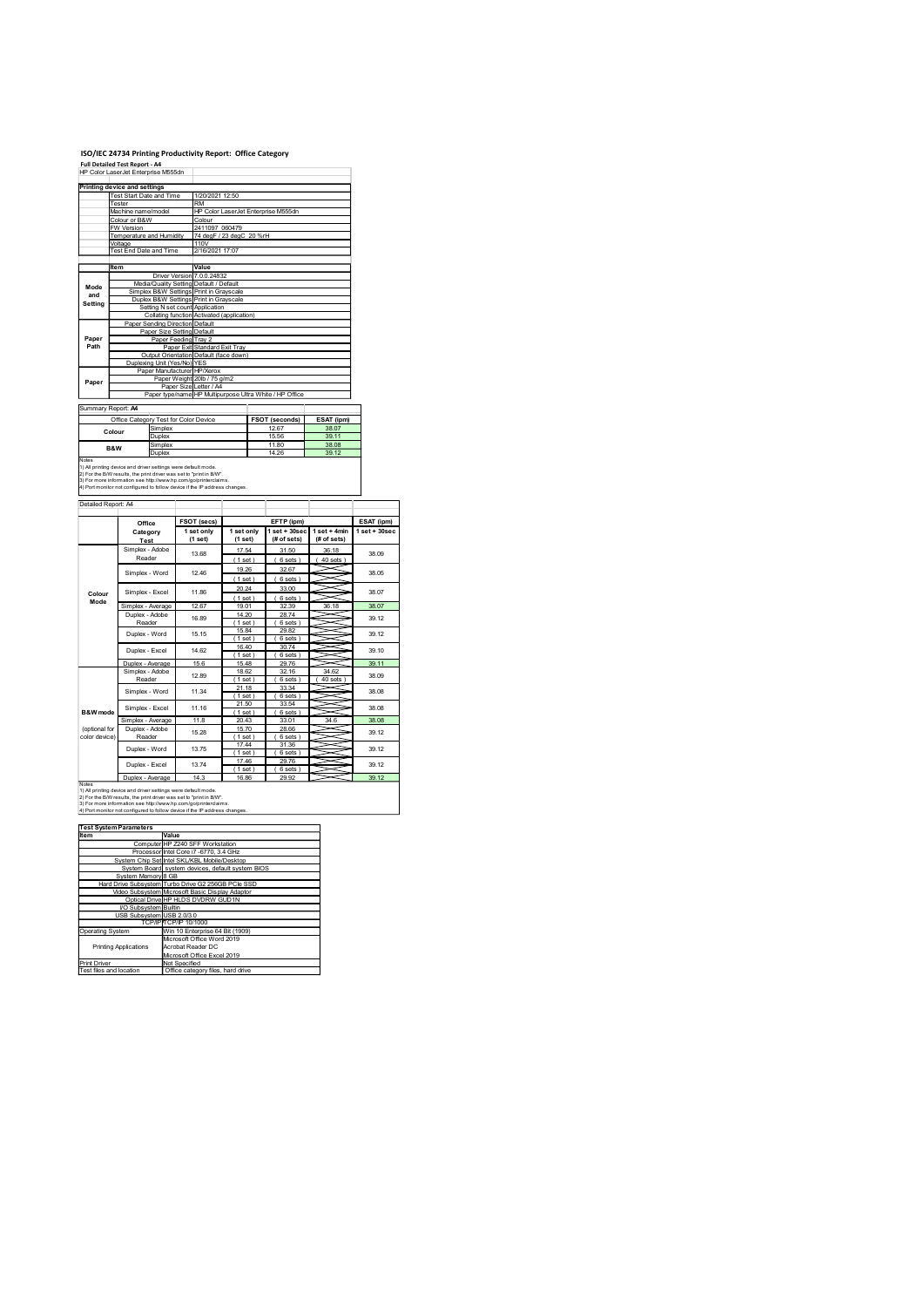# ISO/IEC 24734 Printing Productivity Report: Office Category Full Detailed Test Report - A4

| ISO/IEC 24734 Printing Productivity Report: Office Category<br><b>Full Detailed Test Report - A4</b><br>HP Color LaserJet Enterprise M555dn<br>Printing device and settings<br>Fest Start Date and Time<br>1/20/2021 12:50<br>ester<br><b>RM</b><br>HP Color LaserJet Enterprise M555dn<br>Machine name/model<br>Colour or B&W<br>Colour<br><b>W</b> Version<br>2411097_060479<br>74 degF / 23 degC 20 %rH<br>Femperature and Humidity<br>Voltage<br>110V<br>Test End Date and Time<br>2/16/2021 17:07<br>Item<br>Value<br>Driver Version 7.0.0.24832<br>Media/Quality Setting Default / Default<br>Mode<br>Simplex B&W Settings Print in Grayscale<br>and<br>Duplex B&W Settings Print in Grayscale<br>Setting<br>Setting N set count Application<br>Collating function Activated (application)<br>Paper Sending Direction Default<br>Paper Size Setting Default<br>Paper<br>Paper Feeding Tray 2<br>Path<br>Paper Exit Standard Exit Tray<br>Output Orientation Default (face down)<br>Duplexing Unit (Yes/No) YES<br>Paper Manufacturer HP/Xerox<br>Paper Weight 20lb / 75 g/m2<br>Paper<br>Paper Size Letter / A4<br>Paper type/name HP Multipurpose Ultra White / HP Office<br>Summary Report: A4<br>Office Category Test for Color Device<br><b>FSOT (seconds)</b><br>ESAT (ipm)<br>38.07<br>Simplex<br>12.67<br>Colour<br>Duplex<br>15.56<br>39.11<br>11.80<br>38.08<br>Simplex<br>B&W<br>Duplex<br>14.26<br>39.12<br>1) All printing device and driver settings were default mode.<br>2) For the B/W results, the print driver was set to "print in B/W".<br>3) For more information see http://www.hp.com/go/printerclaims.<br>4) Port monitor not configured to follow device if the IP address changes.<br>Detailed Report: A4<br>FSOT (secs)<br>EFTP (ipm)<br>Office<br>$1 set + 30 sec$ 1 set + 4min<br>1 set only<br>1 set only<br>Category<br>(# of sets)<br>(1 set)<br>(1 set)<br>(# of sets)<br>Test<br>Simplex - Adobe<br>17.54<br>31.50<br>36.18<br>13.68<br>Reader<br>(6 sets)<br>$(40 \text{ sets})$<br>(1 set)<br>32.67<br>19.26<br>Simplex - Word<br>12.46<br>(1 set)<br>(6 sets)<br>20.24<br>33.00<br>Simplex - Excel<br>11.86<br>Colour<br>(1 set)<br>(6 sets)<br>Mode<br>Simplex - Average<br>12.67<br>36.18<br>19.01<br>32.39<br>Duplex - Adobe<br>14.20<br>28.74<br>16.89<br>Reader<br>(1 set)<br>(6 sets)<br>15.84<br>29.82<br>Duplex - Word<br>15.15<br>(1 set)<br>(6 sets)<br>16.40<br>30.74<br>Duplex - Excel<br>14.62<br>(1 set)<br>(6 sets)<br>Duplex - Average<br>15.6<br>15.48<br>29.76<br>~<br>34.62<br>Simplex - Adobe<br>18.62<br>32.16<br>12.89<br>Reader<br>(1 set)<br>(6 sets)<br>$40$ sets $)$<br>21.18<br>33.34<br>Simplex - Word<br>11.34<br>(1 set)<br>(6 sets)<br>~<br>21.50<br>33.54<br>~<br>Simplex - Excel<br>11.16<br>∊<br>B&W mode<br>(1 set)<br>6 sets)<br>11.8<br>34.6<br>Simplex - Average<br>20.43<br>33.01 |       |  |  |  |  |
|---------------------------------------------------------------------------------------------------------------------------------------------------------------------------------------------------------------------------------------------------------------------------------------------------------------------------------------------------------------------------------------------------------------------------------------------------------------------------------------------------------------------------------------------------------------------------------------------------------------------------------------------------------------------------------------------------------------------------------------------------------------------------------------------------------------------------------------------------------------------------------------------------------------------------------------------------------------------------------------------------------------------------------------------------------------------------------------------------------------------------------------------------------------------------------------------------------------------------------------------------------------------------------------------------------------------------------------------------------------------------------------------------------------------------------------------------------------------------------------------------------------------------------------------------------------------------------------------------------------------------------------------------------------------------------------------------------------------------------------------------------------------------------------------------------------------------------------------------------------------------------------------------------------------------------------------------------------------------------------------------------------------------------------------------------------------------------------------------------------------------------------------------------------------------------------------------------------------------------------------------------------------------------------------------------------------------------------------------------------------------------------------------------------------------------------------------------------------------------------------------------------------------------------------------------------------------------------------------------------------------------------------------------------------------------------------------------------------------------------------------------------------------------------------------------------------------------------------------------------------|-------|--|--|--|--|
|                                                                                                                                                                                                                                                                                                                                                                                                                                                                                                                                                                                                                                                                                                                                                                                                                                                                                                                                                                                                                                                                                                                                                                                                                                                                                                                                                                                                                                                                                                                                                                                                                                                                                                                                                                                                                                                                                                                                                                                                                                                                                                                                                                                                                                                                                                                                                                                                                                                                                                                                                                                                                                                                                                                                                                                                                                                                     |       |  |  |  |  |
|                                                                                                                                                                                                                                                                                                                                                                                                                                                                                                                                                                                                                                                                                                                                                                                                                                                                                                                                                                                                                                                                                                                                                                                                                                                                                                                                                                                                                                                                                                                                                                                                                                                                                                                                                                                                                                                                                                                                                                                                                                                                                                                                                                                                                                                                                                                                                                                                                                                                                                                                                                                                                                                                                                                                                                                                                                                                     |       |  |  |  |  |
|                                                                                                                                                                                                                                                                                                                                                                                                                                                                                                                                                                                                                                                                                                                                                                                                                                                                                                                                                                                                                                                                                                                                                                                                                                                                                                                                                                                                                                                                                                                                                                                                                                                                                                                                                                                                                                                                                                                                                                                                                                                                                                                                                                                                                                                                                                                                                                                                                                                                                                                                                                                                                                                                                                                                                                                                                                                                     |       |  |  |  |  |
|                                                                                                                                                                                                                                                                                                                                                                                                                                                                                                                                                                                                                                                                                                                                                                                                                                                                                                                                                                                                                                                                                                                                                                                                                                                                                                                                                                                                                                                                                                                                                                                                                                                                                                                                                                                                                                                                                                                                                                                                                                                                                                                                                                                                                                                                                                                                                                                                                                                                                                                                                                                                                                                                                                                                                                                                                                                                     |       |  |  |  |  |
|                                                                                                                                                                                                                                                                                                                                                                                                                                                                                                                                                                                                                                                                                                                                                                                                                                                                                                                                                                                                                                                                                                                                                                                                                                                                                                                                                                                                                                                                                                                                                                                                                                                                                                                                                                                                                                                                                                                                                                                                                                                                                                                                                                                                                                                                                                                                                                                                                                                                                                                                                                                                                                                                                                                                                                                                                                                                     |       |  |  |  |  |
|                                                                                                                                                                                                                                                                                                                                                                                                                                                                                                                                                                                                                                                                                                                                                                                                                                                                                                                                                                                                                                                                                                                                                                                                                                                                                                                                                                                                                                                                                                                                                                                                                                                                                                                                                                                                                                                                                                                                                                                                                                                                                                                                                                                                                                                                                                                                                                                                                                                                                                                                                                                                                                                                                                                                                                                                                                                                     |       |  |  |  |  |
|                                                                                                                                                                                                                                                                                                                                                                                                                                                                                                                                                                                                                                                                                                                                                                                                                                                                                                                                                                                                                                                                                                                                                                                                                                                                                                                                                                                                                                                                                                                                                                                                                                                                                                                                                                                                                                                                                                                                                                                                                                                                                                                                                                                                                                                                                                                                                                                                                                                                                                                                                                                                                                                                                                                                                                                                                                                                     |       |  |  |  |  |
|                                                                                                                                                                                                                                                                                                                                                                                                                                                                                                                                                                                                                                                                                                                                                                                                                                                                                                                                                                                                                                                                                                                                                                                                                                                                                                                                                                                                                                                                                                                                                                                                                                                                                                                                                                                                                                                                                                                                                                                                                                                                                                                                                                                                                                                                                                                                                                                                                                                                                                                                                                                                                                                                                                                                                                                                                                                                     |       |  |  |  |  |
|                                                                                                                                                                                                                                                                                                                                                                                                                                                                                                                                                                                                                                                                                                                                                                                                                                                                                                                                                                                                                                                                                                                                                                                                                                                                                                                                                                                                                                                                                                                                                                                                                                                                                                                                                                                                                                                                                                                                                                                                                                                                                                                                                                                                                                                                                                                                                                                                                                                                                                                                                                                                                                                                                                                                                                                                                                                                     |       |  |  |  |  |
|                                                                                                                                                                                                                                                                                                                                                                                                                                                                                                                                                                                                                                                                                                                                                                                                                                                                                                                                                                                                                                                                                                                                                                                                                                                                                                                                                                                                                                                                                                                                                                                                                                                                                                                                                                                                                                                                                                                                                                                                                                                                                                                                                                                                                                                                                                                                                                                                                                                                                                                                                                                                                                                                                                                                                                                                                                                                     |       |  |  |  |  |
|                                                                                                                                                                                                                                                                                                                                                                                                                                                                                                                                                                                                                                                                                                                                                                                                                                                                                                                                                                                                                                                                                                                                                                                                                                                                                                                                                                                                                                                                                                                                                                                                                                                                                                                                                                                                                                                                                                                                                                                                                                                                                                                                                                                                                                                                                                                                                                                                                                                                                                                                                                                                                                                                                                                                                                                                                                                                     |       |  |  |  |  |
|                                                                                                                                                                                                                                                                                                                                                                                                                                                                                                                                                                                                                                                                                                                                                                                                                                                                                                                                                                                                                                                                                                                                                                                                                                                                                                                                                                                                                                                                                                                                                                                                                                                                                                                                                                                                                                                                                                                                                                                                                                                                                                                                                                                                                                                                                                                                                                                                                                                                                                                                                                                                                                                                                                                                                                                                                                                                     |       |  |  |  |  |
|                                                                                                                                                                                                                                                                                                                                                                                                                                                                                                                                                                                                                                                                                                                                                                                                                                                                                                                                                                                                                                                                                                                                                                                                                                                                                                                                                                                                                                                                                                                                                                                                                                                                                                                                                                                                                                                                                                                                                                                                                                                                                                                                                                                                                                                                                                                                                                                                                                                                                                                                                                                                                                                                                                                                                                                                                                                                     |       |  |  |  |  |
| 38.09<br>38.05<br>38.07<br>38.07<br>39.12<br>39.12<br>39.10<br>39.11<br>38.09<br>38.08<br>38.08<br>38.08                                                                                                                                                                                                                                                                                                                                                                                                                                                                                                                                                                                                                                                                                                                                                                                                                                                                                                                                                                                                                                                                                                                                                                                                                                                                                                                                                                                                                                                                                                                                                                                                                                                                                                                                                                                                                                                                                                                                                                                                                                                                                                                                                                                                                                                                                                                                                                                                                                                                                                                                                                                                                                                                                                                                                            |       |  |  |  |  |
|                                                                                                                                                                                                                                                                                                                                                                                                                                                                                                                                                                                                                                                                                                                                                                                                                                                                                                                                                                                                                                                                                                                                                                                                                                                                                                                                                                                                                                                                                                                                                                                                                                                                                                                                                                                                                                                                                                                                                                                                                                                                                                                                                                                                                                                                                                                                                                                                                                                                                                                                                                                                                                                                                                                                                                                                                                                                     |       |  |  |  |  |
|                                                                                                                                                                                                                                                                                                                                                                                                                                                                                                                                                                                                                                                                                                                                                                                                                                                                                                                                                                                                                                                                                                                                                                                                                                                                                                                                                                                                                                                                                                                                                                                                                                                                                                                                                                                                                                                                                                                                                                                                                                                                                                                                                                                                                                                                                                                                                                                                                                                                                                                                                                                                                                                                                                                                                                                                                                                                     |       |  |  |  |  |
| ESAT (ipm)<br>$1 set + 30 sec$                                                                                                                                                                                                                                                                                                                                                                                                                                                                                                                                                                                                                                                                                                                                                                                                                                                                                                                                                                                                                                                                                                                                                                                                                                                                                                                                                                                                                                                                                                                                                                                                                                                                                                                                                                                                                                                                                                                                                                                                                                                                                                                                                                                                                                                                                                                                                                                                                                                                                                                                                                                                                                                                                                                                                                                                                                      |       |  |  |  |  |
|                                                                                                                                                                                                                                                                                                                                                                                                                                                                                                                                                                                                                                                                                                                                                                                                                                                                                                                                                                                                                                                                                                                                                                                                                                                                                                                                                                                                                                                                                                                                                                                                                                                                                                                                                                                                                                                                                                                                                                                                                                                                                                                                                                                                                                                                                                                                                                                                                                                                                                                                                                                                                                                                                                                                                                                                                                                                     |       |  |  |  |  |
|                                                                                                                                                                                                                                                                                                                                                                                                                                                                                                                                                                                                                                                                                                                                                                                                                                                                                                                                                                                                                                                                                                                                                                                                                                                                                                                                                                                                                                                                                                                                                                                                                                                                                                                                                                                                                                                                                                                                                                                                                                                                                                                                                                                                                                                                                                                                                                                                                                                                                                                                                                                                                                                                                                                                                                                                                                                                     |       |  |  |  |  |
|                                                                                                                                                                                                                                                                                                                                                                                                                                                                                                                                                                                                                                                                                                                                                                                                                                                                                                                                                                                                                                                                                                                                                                                                                                                                                                                                                                                                                                                                                                                                                                                                                                                                                                                                                                                                                                                                                                                                                                                                                                                                                                                                                                                                                                                                                                                                                                                                                                                                                                                                                                                                                                                                                                                                                                                                                                                                     |       |  |  |  |  |
|                                                                                                                                                                                                                                                                                                                                                                                                                                                                                                                                                                                                                                                                                                                                                                                                                                                                                                                                                                                                                                                                                                                                                                                                                                                                                                                                                                                                                                                                                                                                                                                                                                                                                                                                                                                                                                                                                                                                                                                                                                                                                                                                                                                                                                                                                                                                                                                                                                                                                                                                                                                                                                                                                                                                                                                                                                                                     |       |  |  |  |  |
|                                                                                                                                                                                                                                                                                                                                                                                                                                                                                                                                                                                                                                                                                                                                                                                                                                                                                                                                                                                                                                                                                                                                                                                                                                                                                                                                                                                                                                                                                                                                                                                                                                                                                                                                                                                                                                                                                                                                                                                                                                                                                                                                                                                                                                                                                                                                                                                                                                                                                                                                                                                                                                                                                                                                                                                                                                                                     |       |  |  |  |  |
|                                                                                                                                                                                                                                                                                                                                                                                                                                                                                                                                                                                                                                                                                                                                                                                                                                                                                                                                                                                                                                                                                                                                                                                                                                                                                                                                                                                                                                                                                                                                                                                                                                                                                                                                                                                                                                                                                                                                                                                                                                                                                                                                                                                                                                                                                                                                                                                                                                                                                                                                                                                                                                                                                                                                                                                                                                                                     |       |  |  |  |  |
|                                                                                                                                                                                                                                                                                                                                                                                                                                                                                                                                                                                                                                                                                                                                                                                                                                                                                                                                                                                                                                                                                                                                                                                                                                                                                                                                                                                                                                                                                                                                                                                                                                                                                                                                                                                                                                                                                                                                                                                                                                                                                                                                                                                                                                                                                                                                                                                                                                                                                                                                                                                                                                                                                                                                                                                                                                                                     |       |  |  |  |  |
|                                                                                                                                                                                                                                                                                                                                                                                                                                                                                                                                                                                                                                                                                                                                                                                                                                                                                                                                                                                                                                                                                                                                                                                                                                                                                                                                                                                                                                                                                                                                                                                                                                                                                                                                                                                                                                                                                                                                                                                                                                                                                                                                                                                                                                                                                                                                                                                                                                                                                                                                                                                                                                                                                                                                                                                                                                                                     |       |  |  |  |  |
|                                                                                                                                                                                                                                                                                                                                                                                                                                                                                                                                                                                                                                                                                                                                                                                                                                                                                                                                                                                                                                                                                                                                                                                                                                                                                                                                                                                                                                                                                                                                                                                                                                                                                                                                                                                                                                                                                                                                                                                                                                                                                                                                                                                                                                                                                                                                                                                                                                                                                                                                                                                                                                                                                                                                                                                                                                                                     |       |  |  |  |  |
|                                                                                                                                                                                                                                                                                                                                                                                                                                                                                                                                                                                                                                                                                                                                                                                                                                                                                                                                                                                                                                                                                                                                                                                                                                                                                                                                                                                                                                                                                                                                                                                                                                                                                                                                                                                                                                                                                                                                                                                                                                                                                                                                                                                                                                                                                                                                                                                                                                                                                                                                                                                                                                                                                                                                                                                                                                                                     |       |  |  |  |  |
|                                                                                                                                                                                                                                                                                                                                                                                                                                                                                                                                                                                                                                                                                                                                                                                                                                                                                                                                                                                                                                                                                                                                                                                                                                                                                                                                                                                                                                                                                                                                                                                                                                                                                                                                                                                                                                                                                                                                                                                                                                                                                                                                                                                                                                                                                                                                                                                                                                                                                                                                                                                                                                                                                                                                                                                                                                                                     |       |  |  |  |  |
|                                                                                                                                                                                                                                                                                                                                                                                                                                                                                                                                                                                                                                                                                                                                                                                                                                                                                                                                                                                                                                                                                                                                                                                                                                                                                                                                                                                                                                                                                                                                                                                                                                                                                                                                                                                                                                                                                                                                                                                                                                                                                                                                                                                                                                                                                                                                                                                                                                                                                                                                                                                                                                                                                                                                                                                                                                                                     |       |  |  |  |  |
|                                                                                                                                                                                                                                                                                                                                                                                                                                                                                                                                                                                                                                                                                                                                                                                                                                                                                                                                                                                                                                                                                                                                                                                                                                                                                                                                                                                                                                                                                                                                                                                                                                                                                                                                                                                                                                                                                                                                                                                                                                                                                                                                                                                                                                                                                                                                                                                                                                                                                                                                                                                                                                                                                                                                                                                                                                                                     |       |  |  |  |  |
|                                                                                                                                                                                                                                                                                                                                                                                                                                                                                                                                                                                                                                                                                                                                                                                                                                                                                                                                                                                                                                                                                                                                                                                                                                                                                                                                                                                                                                                                                                                                                                                                                                                                                                                                                                                                                                                                                                                                                                                                                                                                                                                                                                                                                                                                                                                                                                                                                                                                                                                                                                                                                                                                                                                                                                                                                                                                     | Notes |  |  |  |  |
|                                                                                                                                                                                                                                                                                                                                                                                                                                                                                                                                                                                                                                                                                                                                                                                                                                                                                                                                                                                                                                                                                                                                                                                                                                                                                                                                                                                                                                                                                                                                                                                                                                                                                                                                                                                                                                                                                                                                                                                                                                                                                                                                                                                                                                                                                                                                                                                                                                                                                                                                                                                                                                                                                                                                                                                                                                                                     |       |  |  |  |  |
|                                                                                                                                                                                                                                                                                                                                                                                                                                                                                                                                                                                                                                                                                                                                                                                                                                                                                                                                                                                                                                                                                                                                                                                                                                                                                                                                                                                                                                                                                                                                                                                                                                                                                                                                                                                                                                                                                                                                                                                                                                                                                                                                                                                                                                                                                                                                                                                                                                                                                                                                                                                                                                                                                                                                                                                                                                                                     |       |  |  |  |  |
|                                                                                                                                                                                                                                                                                                                                                                                                                                                                                                                                                                                                                                                                                                                                                                                                                                                                                                                                                                                                                                                                                                                                                                                                                                                                                                                                                                                                                                                                                                                                                                                                                                                                                                                                                                                                                                                                                                                                                                                                                                                                                                                                                                                                                                                                                                                                                                                                                                                                                                                                                                                                                                                                                                                                                                                                                                                                     |       |  |  |  |  |
|                                                                                                                                                                                                                                                                                                                                                                                                                                                                                                                                                                                                                                                                                                                                                                                                                                                                                                                                                                                                                                                                                                                                                                                                                                                                                                                                                                                                                                                                                                                                                                                                                                                                                                                                                                                                                                                                                                                                                                                                                                                                                                                                                                                                                                                                                                                                                                                                                                                                                                                                                                                                                                                                                                                                                                                                                                                                     |       |  |  |  |  |
|                                                                                                                                                                                                                                                                                                                                                                                                                                                                                                                                                                                                                                                                                                                                                                                                                                                                                                                                                                                                                                                                                                                                                                                                                                                                                                                                                                                                                                                                                                                                                                                                                                                                                                                                                                                                                                                                                                                                                                                                                                                                                                                                                                                                                                                                                                                                                                                                                                                                                                                                                                                                                                                                                                                                                                                                                                                                     |       |  |  |  |  |
|                                                                                                                                                                                                                                                                                                                                                                                                                                                                                                                                                                                                                                                                                                                                                                                                                                                                                                                                                                                                                                                                                                                                                                                                                                                                                                                                                                                                                                                                                                                                                                                                                                                                                                                                                                                                                                                                                                                                                                                                                                                                                                                                                                                                                                                                                                                                                                                                                                                                                                                                                                                                                                                                                                                                                                                                                                                                     |       |  |  |  |  |
|                                                                                                                                                                                                                                                                                                                                                                                                                                                                                                                                                                                                                                                                                                                                                                                                                                                                                                                                                                                                                                                                                                                                                                                                                                                                                                                                                                                                                                                                                                                                                                                                                                                                                                                                                                                                                                                                                                                                                                                                                                                                                                                                                                                                                                                                                                                                                                                                                                                                                                                                                                                                                                                                                                                                                                                                                                                                     |       |  |  |  |  |
|                                                                                                                                                                                                                                                                                                                                                                                                                                                                                                                                                                                                                                                                                                                                                                                                                                                                                                                                                                                                                                                                                                                                                                                                                                                                                                                                                                                                                                                                                                                                                                                                                                                                                                                                                                                                                                                                                                                                                                                                                                                                                                                                                                                                                                                                                                                                                                                                                                                                                                                                                                                                                                                                                                                                                                                                                                                                     |       |  |  |  |  |
|                                                                                                                                                                                                                                                                                                                                                                                                                                                                                                                                                                                                                                                                                                                                                                                                                                                                                                                                                                                                                                                                                                                                                                                                                                                                                                                                                                                                                                                                                                                                                                                                                                                                                                                                                                                                                                                                                                                                                                                                                                                                                                                                                                                                                                                                                                                                                                                                                                                                                                                                                                                                                                                                                                                                                                                                                                                                     |       |  |  |  |  |
|                                                                                                                                                                                                                                                                                                                                                                                                                                                                                                                                                                                                                                                                                                                                                                                                                                                                                                                                                                                                                                                                                                                                                                                                                                                                                                                                                                                                                                                                                                                                                                                                                                                                                                                                                                                                                                                                                                                                                                                                                                                                                                                                                                                                                                                                                                                                                                                                                                                                                                                                                                                                                                                                                                                                                                                                                                                                     |       |  |  |  |  |
|                                                                                                                                                                                                                                                                                                                                                                                                                                                                                                                                                                                                                                                                                                                                                                                                                                                                                                                                                                                                                                                                                                                                                                                                                                                                                                                                                                                                                                                                                                                                                                                                                                                                                                                                                                                                                                                                                                                                                                                                                                                                                                                                                                                                                                                                                                                                                                                                                                                                                                                                                                                                                                                                                                                                                                                                                                                                     |       |  |  |  |  |
| 10.70                                                                                                                                                                                                                                                                                                                                                                                                                                                                                                                                                                                                                                                                                                                                                                                                                                                                                                                                                                                                                                                                                                                                                                                                                                                                                                                                                                                                                                                                                                                                                                                                                                                                                                                                                                                                                                                                                                                                                                                                                                                                                                                                                                                                                                                                                                                                                                                                                                                                                                                                                                                                                                                                                                                                                                                                                                                               |       |  |  |  |  |

|                                | Temperature and Humidity                                                                                                                                                                                                                                                              |                            | 110V                            | 74 degF / 23 degC 20 %rH                                |                      |                      |                  |
|--------------------------------|---------------------------------------------------------------------------------------------------------------------------------------------------------------------------------------------------------------------------------------------------------------------------------------|----------------------------|---------------------------------|---------------------------------------------------------|----------------------|----------------------|------------------|
|                                | Voltage<br>Fest End Date and Time                                                                                                                                                                                                                                                     |                            | 2/16/2021 17:07                 |                                                         |                      |                      |                  |
|                                | Item                                                                                                                                                                                                                                                                                  |                            | Value                           |                                                         |                      |                      |                  |
|                                |                                                                                                                                                                                                                                                                                       |                            | Driver Version 7.0.0.24832      |                                                         |                      |                      |                  |
| Mode                           | Media/Quality Setting Default / Default<br>Simplex B&W Settings Print in Grayscale                                                                                                                                                                                                    |                            |                                 |                                                         |                      |                      |                  |
| and<br>Setting                 | Duplex B&W Settings Print in Grayscale                                                                                                                                                                                                                                                |                            | Setting N set count Application |                                                         |                      |                      |                  |
|                                |                                                                                                                                                                                                                                                                                       |                            |                                 | Collating function Activated (application)              |                      |                      |                  |
|                                | Paper Sending Direction Default                                                                                                                                                                                                                                                       | Paper Size Setting Default |                                 |                                                         |                      |                      |                  |
| Paper<br>Path                  |                                                                                                                                                                                                                                                                                       | Paper Feeding Tray 2       | Paper Exit Standard Exit Tray   |                                                         |                      |                      |                  |
|                                |                                                                                                                                                                                                                                                                                       |                            |                                 | Output Orientation Default (face down)                  |                      |                      |                  |
|                                | Duplexing Unit (Yes/No) YES<br>Paper Manufacturer HP/Xerox                                                                                                                                                                                                                            |                            |                                 |                                                         |                      |                      |                  |
| Paper                          |                                                                                                                                                                                                                                                                                       |                            | Paper Weight 20lb / 75 g/m2     |                                                         |                      |                      |                  |
|                                |                                                                                                                                                                                                                                                                                       |                            | Paper Size Letter / A4          | Paper type/name HP Multipurpose Ultra White / HP Office |                      |                      |                  |
| Summary Report: A4             |                                                                                                                                                                                                                                                                                       |                            |                                 |                                                         |                      |                      |                  |
|                                | Office Category Test for Color Device                                                                                                                                                                                                                                                 |                            |                                 |                                                         | FSOT (seconds)       | ESAT (ipm)           |                  |
|                                | Simplex<br>Colour<br>Duplex                                                                                                                                                                                                                                                           |                            |                                 |                                                         | 12.67<br>15.56       | 38.07<br>39.11       |                  |
|                                | Simplex<br>B&W                                                                                                                                                                                                                                                                        |                            |                                 |                                                         | 11.80                | 38.08                |                  |
| Notes                          | Duplex                                                                                                                                                                                                                                                                                |                            |                                 |                                                         | 14.26                | 39.12                |                  |
|                                | 1) All printing device and driver settings were default mode.<br>2) For the B/W results, the print driver was set to "print in B/W".<br>3) For more information see http://www.hp.com/go/printerclaims.<br>4) Port monitor not configured to follow device if the IP address changes. |                            |                                 |                                                         |                      |                      |                  |
| Detailed Report: A4            |                                                                                                                                                                                                                                                                                       |                            |                                 |                                                         |                      |                      |                  |
|                                | Office                                                                                                                                                                                                                                                                                |                            | FSOT (secs)                     |                                                         | EFTP (ipm)           |                      | ESAT (ipm)       |
|                                | Category                                                                                                                                                                                                                                                                              |                            | 1 set only                      | 1 set only                                              | $1 set + 30 sec$     | $1$ set + 4 $min$    | $1 set + 30 sec$ |
|                                | Test<br>Simplex - Adobe                                                                                                                                                                                                                                                               |                            | (1 set)                         | (1 set)<br>17.54                                        | (# of sets)<br>31.50 | (# of sets)<br>36.18 |                  |
|                                | Reader                                                                                                                                                                                                                                                                                |                            | 13.68                           | (1 set)                                                 | (6 sets)             | $40$ sets $)$        | 38.09            |
|                                | Simplex - Word                                                                                                                                                                                                                                                                        |                            | 12.46                           | 19.26                                                   | 32.67                |                      | 38.05            |
|                                |                                                                                                                                                                                                                                                                                       |                            |                                 | (1 set)<br>20.24                                        | (6 sets)<br>33.00    |                      |                  |
| Colour<br>Mode                 | Simplex - Excel                                                                                                                                                                                                                                                                       |                            | 11.86                           | (1 set)                                                 | (6 sets)             |                      | 38.07            |
|                                | Simplex - Average<br>Duplex - Adobe                                                                                                                                                                                                                                                   |                            | 12.67                           | 19.01<br>14.20                                          | 32.39<br>28.74       | 36.18                | 38.07            |
|                                | Reader                                                                                                                                                                                                                                                                                |                            | 16.89                           | (1 set)                                                 | (6 sets)             |                      | 39.12            |
|                                | Duplex - Word                                                                                                                                                                                                                                                                         |                            | 15.15                           | 15.84<br>(1 set)                                        | 29.82<br>(6 sets)    |                      | 39.12            |
|                                | Duplex - Excel                                                                                                                                                                                                                                                                        |                            | 14.62                           | 16.40                                                   | 30.74                |                      | 39.10            |
|                                | Duplex - Average                                                                                                                                                                                                                                                                      |                            | 15.6                            | (1 set)<br>15.48                                        | (6 sets)<br>29.76    |                      | 39.11            |
|                                | Simplex - Adobe                                                                                                                                                                                                                                                                       |                            | 12.89                           | 18.62                                                   | 32.16                | 34.62                | 38.09            |
|                                | Reader                                                                                                                                                                                                                                                                                |                            |                                 | (1 set)<br>21.18                                        | 6 sets<br>33.34      | $40$ sets $)$        |                  |
|                                | Simplex - Word                                                                                                                                                                                                                                                                        |                            | 11.34                           | (1 set)                                                 | (6 sets)             |                      | 38.08            |
| B&W mode                       | Simplex - Excel                                                                                                                                                                                                                                                                       |                            | 11.16                           | 21.50<br>(1 set)                                        | 33.54<br>6 sets      |                      | 38.08            |
|                                | Simplex - Average                                                                                                                                                                                                                                                                     |                            | 11.8                            | 20.43                                                   | 33.01                | 34.6                 | 38.08            |
| (optional for<br>color device) | Duplex - Adobe<br>Reader                                                                                                                                                                                                                                                              |                            | 15.28                           | 15.70<br>(1 set)                                        | 28.66<br>(6 sets)    |                      | 39.12            |
|                                | Duplex - Word                                                                                                                                                                                                                                                                         |                            | 13.75                           | 17.44<br>(1 set)                                        | 31.36<br>(6 sets)    |                      | 39.12            |
|                                | Duplex - Excel                                                                                                                                                                                                                                                                        |                            | 13.74                           | 17.46                                                   | 29.76                |                      | 39.12            |
|                                | Duplex - Average                                                                                                                                                                                                                                                                      |                            | 14.3                            | (1 set)<br>16.86                                        | (6 sets)<br>29.92    |                      | 39.12            |
| <b>Notes</b>                   | 1) All printing device and driver settings were default mode.                                                                                                                                                                                                                         |                            |                                 |                                                         |                      |                      |                  |
|                                | 2) For the B/W results, the print driver was set to "print in B/W".<br>3) For more information see http://www.hp.com/go/printerclaims.                                                                                                                                                |                            |                                 |                                                         |                      |                      |                  |
|                                | 4) Port monitor not configured to follow device if the IP address changes.                                                                                                                                                                                                            |                            |                                 |                                                         |                      |                      |                  |
|                                | <b>Test System Parameters</b>                                                                                                                                                                                                                                                         |                            |                                 |                                                         |                      |                      |                  |
| Item                           |                                                                                                                                                                                                                                                                                       | Value                      |                                 |                                                         |                      |                      |                  |
|                                | Computer HP Z240 SFF Workstation<br>Processor Intel Core i7 -6770, 3.4 GHz                                                                                                                                                                                                            |                            |                                 |                                                         |                      |                      |                  |
|                                | System Chip Set Intel SKL/KBL Mobile/Desktop<br>System Board system devices, default system BIOS                                                                                                                                                                                      |                            |                                 |                                                         |                      |                      |                  |
|                                | System Memory 8 GB                                                                                                                                                                                                                                                                    |                            |                                 |                                                         |                      |                      |                  |
|                                | Hard Drive Subsystem Turbo Drive G2 256GB PCIe SSD<br>Video Subsystem Microsoft Basic Display Adaptor                                                                                                                                                                                 |                            |                                 |                                                         |                      |                      |                  |
|                                | Optical Drive HP HLDS DVDRW GUD1N                                                                                                                                                                                                                                                     |                            |                                 |                                                         |                      |                      |                  |
|                                | VO Subsystem Builtin<br>USB Subsystem USB 2.0/3.0                                                                                                                                                                                                                                     |                            |                                 |                                                         |                      |                      |                  |
|                                |                                                                                                                                                                                                                                                                                       | TCP/IP TCP/IP 10/1000      |                                 |                                                         |                      |                      |                  |
| Operating System               |                                                                                                                                                                                                                                                                                       |                            | Microsoft Office Word 2019      | Win 10 Enterprise 64 Bit (1909)                         |                      |                      |                  |
|                                | <b>Printing Applications</b>                                                                                                                                                                                                                                                          | Acrobat Reader DC          | Microsoft Office Excel 2019     |                                                         |                      |                      |                  |
| Print Driver                   |                                                                                                                                                                                                                                                                                       | Not Specified              |                                 |                                                         |                      |                      |                  |
| Test files and location        |                                                                                                                                                                                                                                                                                       |                            |                                 | Office category files, hard drive                       |                      |                      |                  |
|                                |                                                                                                                                                                                                                                                                                       |                            |                                 |                                                         |                      |                      |                  |
|                                |                                                                                                                                                                                                                                                                                       |                            |                                 |                                                         |                      |                      |                  |
|                                |                                                                                                                                                                                                                                                                                       |                            |                                 |                                                         |                      |                      |                  |
|                                |                                                                                                                                                                                                                                                                                       |                            |                                 |                                                         |                      |                      |                  |
|                                |                                                                                                                                                                                                                                                                                       |                            |                                 |                                                         |                      |                      |                  |
|                                |                                                                                                                                                                                                                                                                                       |                            |                                 |                                                         |                      |                      |                  |
|                                |                                                                                                                                                                                                                                                                                       |                            |                                 |                                                         |                      |                      |                  |
|                                |                                                                                                                                                                                                                                                                                       |                            |                                 |                                                         |                      |                      |                  |

| <b>Test System Parameters</b> |                                                    |
|-------------------------------|----------------------------------------------------|
| Item                          | Value                                              |
|                               | Computer HP Z240 SFF Workstation                   |
|                               | Processor Intel Core i7 -6770, 3.4 GHz             |
|                               | System Chip Set Intel SKL/KBL Mobile/Desktop       |
|                               | System Board system devices, default system BIOS   |
| System Memory 8 GB            |                                                    |
|                               | Hard Drive Subsystem Turbo Drive G2 256GB PCIe SSD |
|                               | Video Subsystem Microsoft Basic Display Adaptor    |
|                               | Optical Drive HP HLDS DVDRW GUD1N                  |
| VO Subsystem Builtin          |                                                    |
| USB Subsystem USB 2.0/3.0     |                                                    |
|                               | TCP/IPTCP/IP 10/1000                               |
| <b>Operating System</b>       | Win 10 Enterprise 64 Bit (1909)                    |
|                               | Microsoft Office Word 2019                         |
| <b>Printing Applications</b>  | Acrobat Reader DC                                  |
|                               | Microsoft Office Excel 2019                        |
| Print Driver                  | Not Specified                                      |
| Teet filee and location       | Office category files hard drive                   |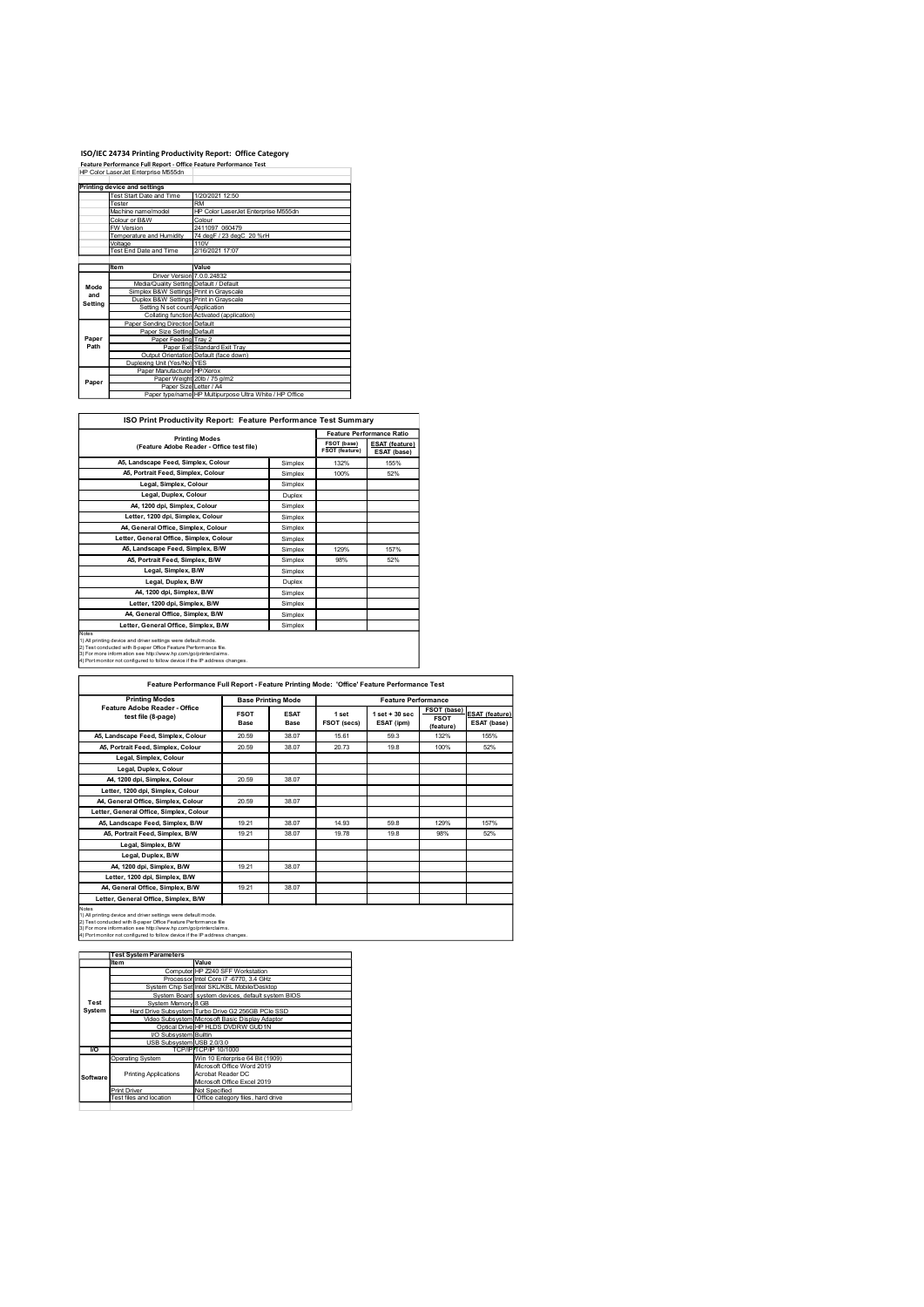## ISO/IEC 24734 Printing Productivity Report: Office Category Feature Performance Full Report - Office Feature Performance Test

|         | ISO/IEC 24734 Printing Productivity Report: Office Category                                              |                                                                 |                    |                |                           |
|---------|----------------------------------------------------------------------------------------------------------|-----------------------------------------------------------------|--------------------|----------------|---------------------------|
|         | Feature Performance Full Report - Office Feature Performance Test<br>HP Color LaserJet Enterprise M555dn |                                                                 |                    |                |                           |
|         | Printing device and settings                                                                             |                                                                 |                    |                |                           |
|         | Test Start Date and Time                                                                                 |                                                                 |                    |                |                           |
|         |                                                                                                          | 1/20/2021 12:50                                                 |                    |                |                           |
|         | Tester<br>Machine name/model                                                                             | RM<br>HP Color LaserJet Enterprise M555dn                       |                    |                |                           |
|         | Colour or B&W                                                                                            | Colour                                                          |                    |                |                           |
|         | FW Version<br>Femperature and Humidity                                                                   | 2411097_060479<br>74 degF / 23 degC 20 %rH                      |                    |                |                           |
|         | Voltage<br>Fest End Date and Time                                                                        | 110V<br>2/16/2021 17:07                                         |                    |                |                           |
|         | Item                                                                                                     | Value                                                           |                    |                |                           |
|         | Driver Version 7.0.0.24832                                                                               |                                                                 |                    |                |                           |
| Mode    | Media/Quality Setting Default / Default<br>Simplex B&W Settings Print in Grayscale                       |                                                                 |                    |                |                           |
| and     | Duplex B&W Settings Print in Grayscale                                                                   |                                                                 |                    |                |                           |
| Setting | Setting N set count Application                                                                          |                                                                 |                    |                |                           |
|         | Paper Sending Direction Default                                                                          | Collating function Activated (application)                      |                    |                |                           |
|         | Paper Size Setting Default                                                                               |                                                                 |                    |                |                           |
| Paper   | Paper Feeding Tray 2                                                                                     |                                                                 |                    |                |                           |
| Path    |                                                                                                          | Paper Exit Standard Exit Tray                                   |                    |                |                           |
|         | Duplexing Unit (Yes/No) YES                                                                              | Output Orientation Default (face down)                          |                    |                |                           |
|         | Paper Manufacturer HP/Xerox                                                                              |                                                                 |                    |                |                           |
| Paper   |                                                                                                          | Paper Weight 20lb / 75 g/m2                                     |                    |                |                           |
|         | Paper Size Letter / A4                                                                                   | Paper type/name HP Multipurpose Ultra White / HP Office         |                    |                |                           |
|         |                                                                                                          | ISO Print Productivity Report: Feature Performance Test Summary |                    |                |                           |
|         |                                                                                                          |                                                                 |                    |                | Feature Performance Ratio |
|         |                                                                                                          | <b>Printing Modes</b>                                           |                    | FSOT (base)    | <b>ESAT (feature)</b>     |
|         |                                                                                                          | (Feature Adobe Reader - Office test file)                       |                    | FSOT (feature) | ESAT (base)               |
|         | A5, Landscape Feed, Simplex, Colour                                                                      |                                                                 | Simplex            | 132%           | 155%                      |
|         | A5, Portrait Feed, Simplex, Colour<br>Legal, Simplex, Colour                                             |                                                                 | Simplex<br>Simplex | 100%           | 52%                       |

| <b>ISO P</b><br><b>Feature Performance</b><br>: Productivitv Report:<br>` Print . | <b>Test Summary</b>              |
|-----------------------------------------------------------------------------------|----------------------------------|
|                                                                                   | <b>Feature Performance Ratio</b> |
| <b>Printing Modes</b>                                                             |                                  |

|         | ISO/IEC 24734 Printing Productivity Report: Office Category                                                                      |                                                         |         |                |                                  |
|---------|----------------------------------------------------------------------------------------------------------------------------------|---------------------------------------------------------|---------|----------------|----------------------------------|
|         | Feature Performance Full Report - Office Feature Performance Test<br>HP Color LaserJet Enterprise M555dn                         |                                                         |         |                |                                  |
|         |                                                                                                                                  |                                                         |         |                |                                  |
|         | <b>Printing device and settings</b>                                                                                              |                                                         |         |                |                                  |
|         | Test Start Date and Time<br>Tester<br><b>RM</b>                                                                                  | 1/20/2021 12:50                                         |         |                |                                  |
|         | Machine name/model                                                                                                               | HP Color LaserJet Enterprise M555dn                     |         |                |                                  |
|         | olour or B&W                                                                                                                     | Colour                                                  |         |                |                                  |
|         | FW Version<br>Temperature and Humidity                                                                                           | 2411097 060479<br>74 degF / 23 degC 20 %rH              |         |                |                                  |
|         | Voltage                                                                                                                          | 110V                                                    |         |                |                                  |
|         | Test End Date and Time                                                                                                           | 2/16/2021 17:07                                         |         |                |                                  |
|         |                                                                                                                                  |                                                         |         |                |                                  |
|         | Item<br>Driver Version 7.0.0.24832                                                                                               | Value                                                   |         |                |                                  |
| Mode    | Media/Quality Setting Default / Default                                                                                          |                                                         |         |                |                                  |
| and     | Simplex B&W Settings Print in Grayscale<br>Duplex B&W Settings Print in Grayscale                                                |                                                         |         |                |                                  |
| Setting | Setting N set count Application                                                                                                  |                                                         |         |                |                                  |
|         | Collating function Activated (application)                                                                                       |                                                         |         |                |                                  |
|         | Paper Sending Direction Default<br>Paper Size Setting Default                                                                    |                                                         |         |                |                                  |
| Paper   | Paper Feeding Tray 2                                                                                                             |                                                         |         |                |                                  |
| Path    |                                                                                                                                  | Paper Exit Standard Exit Tray                           |         |                |                                  |
|         | Output Orientation Default (face down)                                                                                           |                                                         |         |                |                                  |
|         | Duplexing Unit (Yes/No) YES<br>Paper Manufacturer HP/Xerox                                                                       |                                                         |         |                |                                  |
| Paper   | Paper Weight 20lb / 75 g/m2                                                                                                      |                                                         |         |                |                                  |
|         | Paper Size Letter / A4                                                                                                           | Paper type/name HP Multipurpose Ultra White / HP Office |         |                |                                  |
|         |                                                                                                                                  |                                                         |         |                |                                  |
|         |                                                                                                                                  |                                                         |         |                |                                  |
|         | ISO Print Productivity Report: Feature Performance Test Summary                                                                  |                                                         |         |                |                                  |
|         |                                                                                                                                  |                                                         |         |                | <b>Feature Performance Ratio</b> |
|         | <b>Printing Modes</b><br>(Feature Adobe Reader - Office test file)                                                               |                                                         |         | FSOT (base)    | <b>ESAT (feature)</b>            |
|         |                                                                                                                                  |                                                         |         | FSOT (feature) | ESAT (base)                      |
|         | A5, Landscape Feed, Simplex, Colour                                                                                              |                                                         | Simplex | 132%           | 155%                             |
|         | A5, Portrait Feed, Simplex, Colour                                                                                               |                                                         | Simplex | 100%           | 52%                              |
|         | Legal, Simplex, Colour                                                                                                           |                                                         | Simplex |                |                                  |
|         | Legal, Duplex, Colour                                                                                                            |                                                         | Duplex  |                |                                  |
|         | A4, 1200 dpi, Simplex, Colour                                                                                                    |                                                         | Simplex |                |                                  |
|         | Letter, 1200 dpi, Simplex, Colour                                                                                                |                                                         | Simplex |                |                                  |
|         | A4, General Office, Simplex, Colour                                                                                              |                                                         | Simplex |                |                                  |
|         | Letter, General Office, Simplex, Colour                                                                                          |                                                         | Simplex |                |                                  |
|         | A5, Landscape Feed, Simplex, B/W                                                                                                 |                                                         | Simplex | 129%           | 157%                             |
|         | A5, Portrait Feed, Simplex, B/W                                                                                                  |                                                         | Simplex | 98%            | 52%                              |
|         | Legal, Simplex, B/W                                                                                                              |                                                         | Simplex |                |                                  |
|         | Legal, Duplex, B/W                                                                                                               |                                                         | Duplex  |                |                                  |
|         | A4, 1200 dpi, Simplex, B/W                                                                                                       |                                                         | Simplex |                |                                  |
|         | Letter, 1200 dpi, Simplex, B/W                                                                                                   |                                                         | Simplex |                |                                  |
|         | A4, General Office, Simplex, B/W                                                                                                 |                                                         | Simplex |                |                                  |
|         | Letter, General Office, Simplex, B/W                                                                                             |                                                         | Simplex |                |                                  |
| Notes   |                                                                                                                                  |                                                         |         |                |                                  |
|         | 1) All printing device and driver settings were default mode.<br>2) Test conducted with 8-paper Office Feature Performance file. |                                                         |         |                |                                  |
|         | 3) For more information see http://www.hp.com/go/printerclaims.                                                                  |                                                         |         |                |                                  |
|         | 4) Port monitor not configured to follow device if the IP address changes.                                                       |                                                         |         |                |                                  |

| Paper           | Paper Size Setting Default<br>Paper Feeding Tray 2                                                                                                                                                                                                                              |                                                    |                           |                     |                               |                                                                                            |             |                                      |
|-----------------|---------------------------------------------------------------------------------------------------------------------------------------------------------------------------------------------------------------------------------------------------------------------------------|----------------------------------------------------|---------------------------|---------------------|-------------------------------|--------------------------------------------------------------------------------------------|-------------|--------------------------------------|
| Path            |                                                                                                                                                                                                                                                                                 | Paper Exit Standard Exit Tray                      |                           |                     |                               |                                                                                            |             |                                      |
|                 | Output Orientation Default (face down)                                                                                                                                                                                                                                          |                                                    |                           |                     |                               |                                                                                            |             |                                      |
|                 | Duplexing Unit (Yes/No) YES<br>Paper Manufacturer HP/Xerox                                                                                                                                                                                                                      |                                                    |                           |                     |                               |                                                                                            |             |                                      |
| Paper           | Paper Weight 20lb / 75 g/m2                                                                                                                                                                                                                                                     |                                                    |                           |                     |                               |                                                                                            |             |                                      |
|                 | Paper Size Letter / A4<br>Paper type/name HP Multipurpose Ultra White / HP Office                                                                                                                                                                                               |                                                    |                           |                     |                               |                                                                                            |             |                                      |
|                 |                                                                                                                                                                                                                                                                                 |                                                    |                           |                     |                               |                                                                                            |             |                                      |
|                 | ISO Print Productivity Report: Feature Performance Test Summary                                                                                                                                                                                                                 |                                                    |                           |                     |                               | Feature Performance Ratio                                                                  |             |                                      |
|                 | (Feature Adobe Reader - Office test file)                                                                                                                                                                                                                                       | <b>Printing Modes</b>                              |                           |                     | FSOT (base)<br>FSOT (feature) | ESAT (feature)<br>ESAT (base)                                                              |             |                                      |
|                 | A5, Landscape Feed, Simplex, Colour                                                                                                                                                                                                                                             |                                                    |                           | Simplex             | 132%                          | 155%                                                                                       |             |                                      |
|                 | A5, Portrait Feed, Simplex, Colour                                                                                                                                                                                                                                              |                                                    |                           | Simplex             | 100%                          | 52%                                                                                        |             |                                      |
|                 | Legal, Simplex, Colour                                                                                                                                                                                                                                                          |                                                    |                           | Simplex             |                               |                                                                                            |             |                                      |
|                 | Legal, Duplex, Colour                                                                                                                                                                                                                                                           |                                                    |                           | Duplex              |                               |                                                                                            |             |                                      |
|                 | A4, 1200 dpi, Simplex, Colour<br>Letter, 1200 dpi, Simplex, Colour                                                                                                                                                                                                              |                                                    |                           | Simplex             |                               |                                                                                            |             |                                      |
|                 | A4, General Office, Simplex, Colour                                                                                                                                                                                                                                             |                                                    |                           | Simplex<br>Simplex  |                               |                                                                                            |             |                                      |
|                 | Letter, General Office, Simplex, Colour                                                                                                                                                                                                                                         |                                                    |                           | Simplex             |                               |                                                                                            |             |                                      |
|                 | A5, Landscape Feed, Simplex, B/W                                                                                                                                                                                                                                                |                                                    |                           | Simplex             | 129%                          | 157%                                                                                       |             |                                      |
|                 | A5, Portrait Feed, Simplex, B/W                                                                                                                                                                                                                                                 |                                                    |                           | Simplex             | 98%                           | 52%                                                                                        |             |                                      |
|                 | Legal, Simplex, B/W                                                                                                                                                                                                                                                             |                                                    |                           | Simplex             |                               |                                                                                            |             |                                      |
|                 | Legal, Duplex, B/W                                                                                                                                                                                                                                                              |                                                    |                           | Duplex              |                               |                                                                                            |             |                                      |
|                 | A4, 1200 dpi, Simplex, B/W                                                                                                                                                                                                                                                      |                                                    |                           | Simplex             |                               |                                                                                            |             |                                      |
|                 | Letter, 1200 dpi, Simplex, B/W                                                                                                                                                                                                                                                  |                                                    |                           | Simplex             |                               |                                                                                            |             |                                      |
|                 | A4, General Office, Simplex, B/W                                                                                                                                                                                                                                                |                                                    |                           | Simplex             |                               |                                                                                            |             |                                      |
|                 | Letter, General Office, Simplex, B/W                                                                                                                                                                                                                                            |                                                    |                           | Simplex             |                               |                                                                                            |             |                                      |
| lotes           |                                                                                                                                                                                                                                                                                 |                                                    |                           |                     |                               |                                                                                            |             |                                      |
|                 | 1) All printing device and driver settings were default mode.<br>2) Test conducted with 8-paper Office Feature Performance file.<br>3) For more information see http://www.hp.com/go/printerclaims<br>) Port monitor not configured to follow device if the IP address changes. |                                                    |                           |                     |                               |                                                                                            |             |                                      |
|                 |                                                                                                                                                                                                                                                                                 |                                                    |                           |                     |                               | Feature Performance Full Report - Feature Printing Mode: 'Office' Feature Performance Test |             |                                      |
|                 | <b>Printing Modes</b>                                                                                                                                                                                                                                                           |                                                    | <b>Base Printing Mode</b> |                     |                               | <b>Feature Performance</b>                                                                 |             |                                      |
|                 | Feature Adobe Reader - Office                                                                                                                                                                                                                                                   |                                                    |                           |                     |                               | $1$ set + 30 sec                                                                           | FSOT (base) |                                      |
|                 | test file (8-page)                                                                                                                                                                                                                                                              |                                                    | <b>FSOT</b><br>Base       | <b>ESAT</b><br>Base | 1 set<br>FSOT (secs)          | ESAT (ipm)                                                                                 | <b>FSOT</b> | <b>ESAT (feature)</b><br>ESAT (base) |
|                 |                                                                                                                                                                                                                                                                                 |                                                    |                           |                     |                               |                                                                                            | (feature)   |                                      |
|                 | A5, Landscape Feed, Simplex, Colour<br>A5, Portrait Feed, Simplex, Colour                                                                                                                                                                                                       |                                                    | 20.59                     | 38.07               | 15.61                         | 59.3                                                                                       | 132%        | 155%                                 |
|                 |                                                                                                                                                                                                                                                                                 |                                                    | 20.59                     | 38.07               | 20.73                         | 19.8                                                                                       | 100%        | 52%                                  |
|                 |                                                                                                                                                                                                                                                                                 |                                                    |                           |                     |                               |                                                                                            |             |                                      |
|                 | Legal, Simplex, Colour                                                                                                                                                                                                                                                          |                                                    |                           |                     |                               |                                                                                            |             |                                      |
|                 | Legal, Duplex, Colour                                                                                                                                                                                                                                                           |                                                    |                           |                     |                               |                                                                                            |             |                                      |
|                 | A4, 1200 dpi, Simplex, Colour                                                                                                                                                                                                                                                   |                                                    | 20.59                     | 38.07               |                               |                                                                                            |             |                                      |
|                 | Letter, 1200 dpi, Simplex, Colour                                                                                                                                                                                                                                               |                                                    |                           |                     |                               |                                                                                            |             |                                      |
|                 | A4, General Office, Simplex, Colour                                                                                                                                                                                                                                             |                                                    | 20.59                     | 38.07               |                               |                                                                                            |             |                                      |
|                 | Letter, General Office, Simplex, Colour                                                                                                                                                                                                                                         |                                                    |                           |                     |                               |                                                                                            |             |                                      |
|                 | A5, Landscape Feed, Simplex, B/W                                                                                                                                                                                                                                                |                                                    | 19.21                     | 38.07               | 14.93                         | 59.8                                                                                       | 129%        | 157%                                 |
|                 | A5, Portrait Feed, Simplex, B/W                                                                                                                                                                                                                                                 |                                                    | 19.21                     | 38.07               | 19.78                         | 19.8                                                                                       | 98%         | 52%                                  |
|                 | Legal, Simplex, B/W                                                                                                                                                                                                                                                             |                                                    |                           |                     |                               |                                                                                            |             |                                      |
|                 | Legal, Duplex, B/W                                                                                                                                                                                                                                                              |                                                    |                           |                     |                               |                                                                                            |             |                                      |
|                 | A4, 1200 dpi, Simplex, B/W                                                                                                                                                                                                                                                      |                                                    | 19.21                     | 38.07               |                               |                                                                                            |             |                                      |
|                 | Letter, 1200 dpi, Simplex, B/W                                                                                                                                                                                                                                                  |                                                    |                           |                     |                               |                                                                                            |             |                                      |
|                 | A4, General Office, Simplex, B/W                                                                                                                                                                                                                                                |                                                    | 19.21                     | 38.07               |                               |                                                                                            |             |                                      |
|                 | Letter, General Office, Simplex, B/W                                                                                                                                                                                                                                            |                                                    |                           |                     |                               |                                                                                            |             |                                      |
|                 |                                                                                                                                                                                                                                                                                 |                                                    |                           |                     |                               |                                                                                            |             |                                      |
|                 | 1) All printing device and driver settings were default mode.<br>2) Test conducted with 8-paper Office Feature Performance file                                                                                                                                                 |                                                    |                           |                     |                               |                                                                                            |             |                                      |
| lotes           | -)<br>3) For more information see http://www.hp.com/go/printerclaims.<br>4) Port monitor not configured to follow device if the IP address changes.                                                                                                                             |                                                    |                           |                     |                               |                                                                                            |             |                                      |
|                 |                                                                                                                                                                                                                                                                                 |                                                    |                           |                     |                               |                                                                                            |             |                                      |
|                 | <b>Test System Parameters</b>                                                                                                                                                                                                                                                   |                                                    |                           |                     |                               |                                                                                            |             |                                      |
|                 | Item                                                                                                                                                                                                                                                                            | Value                                              |                           |                     |                               |                                                                                            |             |                                      |
|                 |                                                                                                                                                                                                                                                                                 | Computer HP Z240 SFF Workstation                   |                           |                     |                               |                                                                                            |             |                                      |
|                 | System Chip Set Intel SKL/KBL Mobile/Desktop                                                                                                                                                                                                                                    | Processor Intel Core i7 -6770, 3.4 GHz             |                           |                     |                               |                                                                                            |             |                                      |
|                 | System Board system devices, default system BIOS                                                                                                                                                                                                                                |                                                    |                           |                     |                               |                                                                                            |             |                                      |
| Test<br>System  | System Memory 8 GB                                                                                                                                                                                                                                                              |                                                    |                           |                     |                               |                                                                                            |             |                                      |
|                 | Hard Drive Subsystem Turbo Drive G2 256GB PCle SSD<br>Video Subsystem Microsoft Basic Display Adaptor                                                                                                                                                                           |                                                    |                           |                     |                               |                                                                                            |             |                                      |
|                 |                                                                                                                                                                                                                                                                                 | Optical Drive HP HLDS DVDRW GUD1N                  |                           |                     |                               |                                                                                            |             |                                      |
|                 | VO Subsystem Builtin<br>USB Subsystem USB 2.0/3.0                                                                                                                                                                                                                               |                                                    |                           |                     |                               |                                                                                            |             |                                      |
| $\overline{10}$ |                                                                                                                                                                                                                                                                                 | TCP/IP TCP/IP 10/1000                              |                           |                     |                               |                                                                                            |             |                                      |
|                 | Operating System                                                                                                                                                                                                                                                                | Win 10 Enterprise 64 Bit (1909)                    |                           |                     |                               |                                                                                            |             |                                      |
|                 | <b>Printing Applications</b>                                                                                                                                                                                                                                                    | Microsoft Office Word 2019<br>Acrobat Reader DC    |                           |                     |                               |                                                                                            |             |                                      |
|                 |                                                                                                                                                                                                                                                                                 | Microsoft Office Excel 2019                        |                           |                     |                               |                                                                                            |             |                                      |
|                 | Print Driver<br>Test files and location                                                                                                                                                                                                                                         | Not Specified<br>Office category files, hard drive |                           |                     |                               |                                                                                            |             |                                      |
|                 |                                                                                                                                                                                                                                                                                 |                                                    |                           |                     |                               |                                                                                            |             |                                      |
|                 |                                                                                                                                                                                                                                                                                 |                                                    |                           |                     |                               |                                                                                            |             |                                      |
|                 |                                                                                                                                                                                                                                                                                 |                                                    |                           |                     |                               |                                                                                            |             |                                      |
|                 |                                                                                                                                                                                                                                                                                 |                                                    |                           |                     |                               |                                                                                            |             |                                      |
|                 |                                                                                                                                                                                                                                                                                 |                                                    |                           |                     |                               |                                                                                            |             |                                      |
| Software        |                                                                                                                                                                                                                                                                                 |                                                    |                           |                     |                               |                                                                                            |             |                                      |
|                 |                                                                                                                                                                                                                                                                                 |                                                    |                           |                     |                               |                                                                                            |             |                                      |
|                 |                                                                                                                                                                                                                                                                                 |                                                    |                           |                     |                               |                                                                                            |             |                                      |

|            | <b>Test System Parameters</b> |                                                    |
|------------|-------------------------------|----------------------------------------------------|
|            | Item                          | Value                                              |
|            |                               | Computer HP Z240 SFF Workstation                   |
|            |                               | Processor Intel Core i7 -6770, 3.4 GHz             |
|            |                               | System Chip Set Intel SKL/KBL Mobile/Desktop       |
|            |                               | System Board system devices, default system BIOS   |
| Test       | System Memory 8 GB            |                                                    |
| System     |                               | Hard Drive Subsystem Turbo Drive G2 256GB PCIe SSD |
|            |                               | Video Subsystem Microsoft Basic Display Adaptor    |
|            |                               | Optical Drive HP HLDS DVDRW GUD1N                  |
|            | <b>VO Subsystem</b> Builtin   |                                                    |
|            | USB Subsystem USB 2.0/3.0     |                                                    |
| <b>I/O</b> |                               | TCP/IPITCP/IP 10/1000                              |
|            | Operating System              | Win 10 Enterprise 64 Bit (1909)                    |
|            |                               | Microsoft Office Word 2019                         |
| Software   | <b>Printing Applications</b>  | Acrobat Reader DC                                  |
|            |                               | Microsoft Office Excel 2019                        |
|            | <b>Print Driver</b>           | Not Specified                                      |
|            | Test files and location       | Office category files, hard drive                  |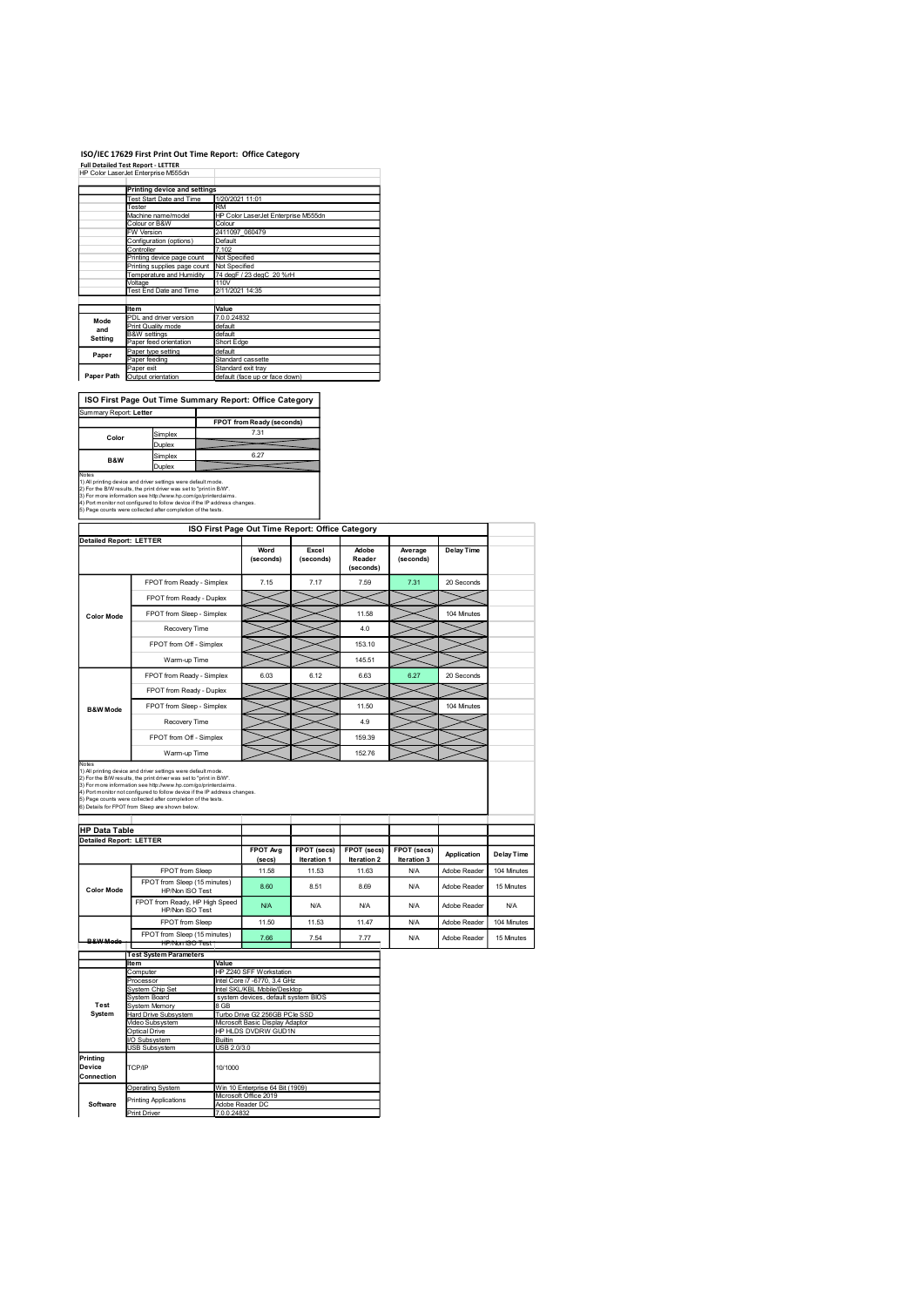## ISO/IEC 17629 First Print Out Time Report: Office Category

|                        |                                                                                  | ISO/IEC 17629 First Print Out Time Report: Office Category |
|------------------------|----------------------------------------------------------------------------------|------------------------------------------------------------|
|                        | <b>Full Detailed Test Report - LETTER</b><br>HP Color LaserJet Enterprise M555dn |                                                            |
|                        |                                                                                  |                                                            |
|                        | <b>Printing device and settings</b>                                              |                                                            |
|                        |                                                                                  |                                                            |
|                        | Test Start Date and Time<br>Tester                                               | 1/20/2021 11:01<br>RM                                      |
|                        | Machine name/model                                                               | HP Color LaserJet Enterprise M555dn                        |
|                        | Colour or B&W<br>W Version                                                       | Colour<br>2411097_060479                                   |
|                        | Configuration (options)                                                          | Default                                                    |
|                        | Controller<br>Printing device page count                                         | 7.102<br>Not Specified                                     |
|                        | Printing supplies page count                                                     | Not Specified                                              |
|                        | Temperature and Humidity                                                         | 74 degF / 23 degC 20 %rH<br>110V                           |
|                        | Voltage<br>Test End Date and Time                                                | 2/11/2021 14:35                                            |
|                        |                                                                                  |                                                            |
|                        | Item<br>PDL and driver version                                                   | Value<br>7.0.0.24832                                       |
| Mode<br>and            | Print Quality mode                                                               | default                                                    |
| Setting                | <b>B&amp;W</b> settings<br>Paper feed orientation                                | default<br>Short Edge                                      |
| Paper                  | Paper type setting                                                               | default                                                    |
|                        | Paper feeding<br>Paper exit                                                      | Standard cassette<br>Standard exit tray                    |
|                        | Paper Path Output orientation                                                    | default (face up or face down)                             |
|                        |                                                                                  |                                                            |
|                        |                                                                                  | ISO First Page Out Time Summary Report: Office Category    |
| Summary Report: Letter |                                                                                  |                                                            |
|                        |                                                                                  | FPOT from Ready (seconds)                                  |
| Color                  | Simplex                                                                          | 7.31                                                       |
|                        | Duplex                                                                           | 6.27                                                       |
| B&W                    | Simplex<br>Duplex                                                                |                                                            |

| Summary Report: Letter                                                     |                                                                 |                           |  |  |  |
|----------------------------------------------------------------------------|-----------------------------------------------------------------|---------------------------|--|--|--|
|                                                                            |                                                                 | FPOT from Ready (seconds) |  |  |  |
| Color                                                                      | Simplex                                                         | 7.31                      |  |  |  |
|                                                                            | Duplex                                                          |                           |  |  |  |
| B&W                                                                        | Simplex                                                         | 6.27                      |  |  |  |
|                                                                            | <b>Duplex</b>                                                   |                           |  |  |  |
| Notes                                                                      |                                                                 |                           |  |  |  |
| 1) All printing device and driver settings were default mode.              |                                                                 |                           |  |  |  |
| 2) For the B/W results, the print driver was set to "print in B/W".        |                                                                 |                           |  |  |  |
|                                                                            | 3) For more information see http://www.hp.com/go/printerclaims. |                           |  |  |  |
| 4) Port monitor not configured to follow device if the IP address changes. |                                                                 |                           |  |  |  |
|                                                                            | 5) Page counts were collected after completion of the tests.    |                           |  |  |  |

|                                | HP Color LaserJet Enterprise Mbbban                                                                                                           |                                               |                                                                     |             |                     |             |                   |             |
|--------------------------------|-----------------------------------------------------------------------------------------------------------------------------------------------|-----------------------------------------------|---------------------------------------------------------------------|-------------|---------------------|-------------|-------------------|-------------|
|                                | <b>Printing device and settings</b>                                                                                                           |                                               |                                                                     |             |                     |             |                   |             |
|                                | Test Start Date and Time<br>Tester                                                                                                            | RM                                            | 1/20/2021 11:01                                                     |             |                     |             |                   |             |
|                                | Machine name/model<br>Colour or B&W                                                                                                           | HP Color LaserJet Enterprise M555dn<br>Colour |                                                                     |             |                     |             |                   |             |
|                                | FW Version<br>Configuration (options)                                                                                                         | 2411097_060479<br>Default                     |                                                                     |             |                     |             |                   |             |
|                                | Controller<br>Printing device page count                                                                                                      | 7.102<br>Not Specified                        |                                                                     |             |                     |             |                   |             |
|                                | Printing supplies page count Not Specified<br>Temperature and Humidity                                                                        |                                               | 74 degF / 23 degC 20 %rH                                            |             |                     |             |                   |             |
|                                | Voltage<br>Test End Date and Time                                                                                                             | 110V<br>2/11/2021 14:35                       |                                                                     |             |                     |             |                   |             |
|                                |                                                                                                                                               |                                               |                                                                     |             |                     |             |                   |             |
| Mode                           | Item<br>PDL and driver version                                                                                                                | Value<br>7.0.0.24832                          |                                                                     |             |                     |             |                   |             |
| and                            | Print Quality mode<br><b>B&amp;W</b> settings                                                                                                 | default<br>default                            |                                                                     |             |                     |             |                   |             |
| Setting                        | aper feed orientation                                                                                                                         | Short Edge<br>default                         |                                                                     |             |                     |             |                   |             |
| Paper                          | Paper type setting<br>Paper feeding                                                                                                           |                                               | Standard cassette                                                   |             |                     |             |                   |             |
|                                | Paper exit<br>Paper Path Output orientation                                                                                                   |                                               | Standard exit tray<br>default (face up or face down)                |             |                     |             |                   |             |
|                                |                                                                                                                                               |                                               |                                                                     |             |                     |             |                   |             |
| Summary Report: Letter         | ISO First Page Out Time Summary Report: Office Category                                                                                       |                                               |                                                                     |             |                     |             |                   |             |
|                                |                                                                                                                                               |                                               | FPOT from Ready (seconds)                                           |             |                     |             |                   |             |
| Color                          | Simplex<br>Duplex                                                                                                                             |                                               | 7.31                                                                |             |                     |             |                   |             |
| B&W                            | Simplex                                                                                                                                       |                                               | 6.27                                                                |             |                     |             |                   |             |
| Notes                          | Duplex                                                                                                                                        |                                               |                                                                     |             |                     |             |                   |             |
|                                | 1) All printing device and driver settings were default mode.<br>2) For the B/W results, the print driver was set to "print in B/W".          |                                               |                                                                     |             |                     |             |                   |             |
|                                | 3) For more information see http://www.hp.com/go/printerclaims.<br>4) Port monitor not configured to follow device if the IP address changes. |                                               |                                                                     |             |                     |             |                   |             |
|                                | 5) Page counts were collected after completion of the tests.                                                                                  |                                               |                                                                     |             |                     |             |                   |             |
| <b>Detailed Report: LETTER</b> |                                                                                                                                               |                                               | ISO First Page Out Time Report: Office Category                     |             |                     |             |                   |             |
|                                |                                                                                                                                               |                                               | Word                                                                | Excel       | Adobe               | Average     | <b>Delay Time</b> |             |
|                                |                                                                                                                                               |                                               | (seconds)                                                           | (seconds)   | Reader<br>(seconds) | (seconds)   |                   |             |
|                                | FPOT from Ready - Simplex                                                                                                                     |                                               | 7.15                                                                | 7.17        | 7.59                | 7.31        | 20 Seconds        |             |
|                                | FPOT from Ready - Duplex                                                                                                                      |                                               |                                                                     |             |                     |             |                   |             |
| <b>Color Mode</b>              | FPOT from Sleep - Simplex                                                                                                                     |                                               |                                                                     |             | 11.58               |             | 104 Minutes       |             |
|                                | Recovery Time                                                                                                                                 |                                               |                                                                     |             | 4.0                 |             |                   |             |
|                                | FPOT from Off - Simplex                                                                                                                       |                                               |                                                                     |             | 153.10              |             |                   |             |
|                                | Warm-up Time                                                                                                                                  |                                               |                                                                     |             | 145.51              |             |                   |             |
|                                | FPOT from Ready - Simplex                                                                                                                     |                                               | 6.03                                                                | 6.12        | 6.63                | 6.27        | 20 Seconds        |             |
|                                | FPOT from Ready - Duplex                                                                                                                      |                                               |                                                                     |             |                     |             |                   |             |
|                                | FPOT from Sleep - Simplex                                                                                                                     |                                               |                                                                     |             | 11.50               |             | 104 Minutes       |             |
| <b>B&amp;W Mode</b>            | Recovery Time                                                                                                                                 |                                               |                                                                     |             | $4.9\,$             |             |                   |             |
|                                | FPOT from Off - Simplex                                                                                                                       |                                               |                                                                     |             | 159.39              |             |                   |             |
|                                | Warm-up Time                                                                                                                                  |                                               |                                                                     |             | 152.76              |             |                   |             |
| Notes                          | 1) All printing device and driver settings were default mode.                                                                                 |                                               |                                                                     |             |                     |             |                   |             |
|                                | 2) For the B/W results, the print driver was set to "print in B/W".<br>3) For more information see http://www.hp.com/go/printerclaims.        |                                               |                                                                     |             |                     |             |                   |             |
|                                | 4) Port monitor not configured to follow device if the IP address changes.<br>5) Page counts were collected after completion of the tests.    |                                               |                                                                     |             |                     |             |                   |             |
|                                | 6) Details for FPOT from Sleep are shown below.                                                                                               |                                               |                                                                     |             |                     |             |                   |             |
| <b>HP Data Table</b>           |                                                                                                                                               |                                               |                                                                     |             |                     |             |                   |             |
| <b>Detailed Report: LETTER</b> |                                                                                                                                               |                                               | FPOT Avg                                                            | FPOT (secs) | FPOT (secs)         | FPOT (secs) |                   |             |
|                                |                                                                                                                                               |                                               | (secs)                                                              | Iteration 1 | Iteration 2         | Iteration 3 | Application       | Delay Time  |
|                                | FPOT from Sleep                                                                                                                               |                                               | 11.58                                                               | 11.53       | 11.03               | <b>N/A</b>  | Adobe Reader      | 104 Minutes |
| <b>Color Mode</b>              | FPOT from Sleep (15 minutes)<br>HP/Non ISO Test                                                                                               |                                               | 8.60                                                                | 8.51        | 8.69                | <b>N/A</b>  | Adobe Reader      | 15 Minutes  |
|                                | FPOT from Ready, HP High Speed<br>HP/Non ISO Test                                                                                             |                                               | N/A                                                                 | N/A         | <b>N/A</b>          | <b>N/A</b>  | Adobe Reader      | <b>N/A</b>  |
|                                | FPOT from Sleep                                                                                                                               |                                               | 11.50                                                               | 11.53       | 11.47               | <b>N/A</b>  | Adobe Reader      | 104 Minutes |
| <b>B&amp;W Mode</b>            | FPOT from Sleep (15 minutes)<br><b>HP/Non ISO Test</b>                                                                                        |                                               | 7.66                                                                | 7.54        | 7.77                | <b>N/A</b>  | Adobe Reader      | 15 Minutes  |
|                                | <b>Test System Parameters</b>                                                                                                                 |                                               |                                                                     |             |                     |             |                   |             |
|                                | ltem<br>Computer                                                                                                                              | Value                                         | HP Z240 SFF Workstation                                             |             |                     |             |                   |             |
|                                | Processor                                                                                                                                     |                                               | Intel Core i7 -6770, 3.4 GHz                                        |             |                     |             |                   |             |
|                                | System Chip Set<br>System Board                                                                                                               |                                               | Intel SKL/KBL Mobile/Desktop<br>system devices, default system BIOS |             |                     |             |                   |             |
| Test<br>System                 | System Memory<br>8 GB<br>Hard Drive Subsystem                                                                                                 |                                               | Turbo Drive G2 256GB PCle SSD                                       |             |                     |             |                   |             |
|                                | Video Subsystem<br>Optical Drive                                                                                                              | Microsoft Basic Display Adaptor               |                                                                     |             |                     |             |                   |             |
|                                | HP HLDS DVDRW GUD1N<br>I/O Subsystem<br><b>Builtin</b><br>USB Subsystem<br>USB 2.0/3.0                                                        |                                               |                                                                     |             |                     |             |                   |             |
| Printing                       |                                                                                                                                               |                                               |                                                                     |             |                     |             |                   |             |
| Device<br>Connection           | TCP/IP                                                                                                                                        | 10/1000                                       |                                                                     |             |                     |             |                   |             |
|                                | Operating System                                                                                                                              | Win 10 Enterprise 64 Bit (1909)               |                                                                     |             |                     |             |                   |             |
| Software                       | Microsoft Office 2019<br><b>Printing Applications</b><br>Adobe Reader DC                                                                      |                                               |                                                                     |             |                     |             |                   |             |
|                                | <b>Print Driver</b><br>7.0.0.24832                                                                                                            |                                               |                                                                     |             |                     |             |                   |             |
|                                |                                                                                                                                               |                                               |                                                                     |             |                     |             |                   |             |
|                                |                                                                                                                                               |                                               |                                                                     |             |                     |             |                   |             |
|                                |                                                                                                                                               |                                               |                                                                     |             |                     |             |                   |             |
|                                |                                                                                                                                               |                                               |                                                                     |             |                     |             |                   |             |
|                                |                                                                                                                                               |                                               |                                                                     |             |                     |             |                   |             |
|                                |                                                                                                                                               |                                               |                                                                     |             |                     |             |                   |             |